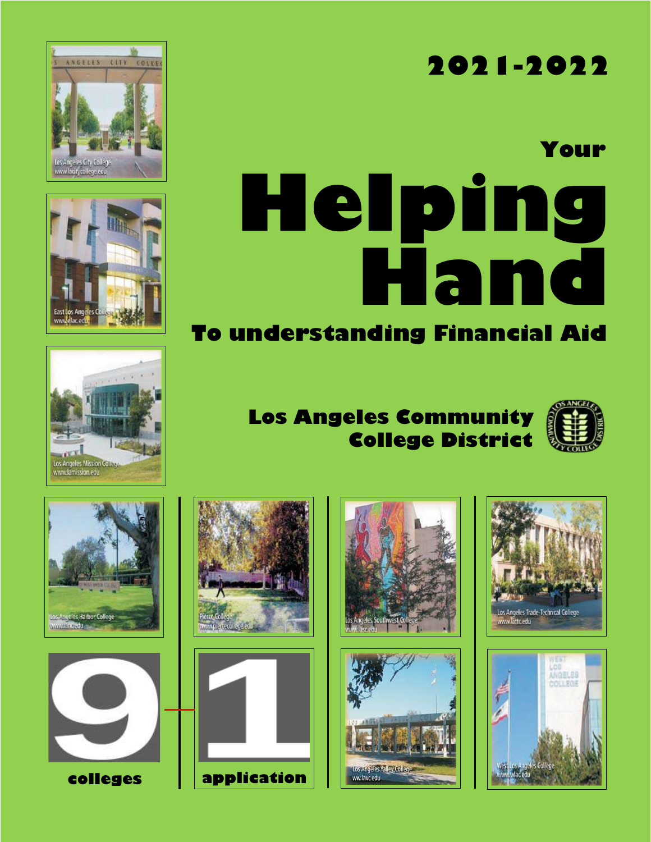# **2021-2022**

# **Helping Hand Your**

# **To understanding Financial Aid**

# **Los Angeles Community College District**



























Los Angeles Trade-Technical College<br>www.lattc.edu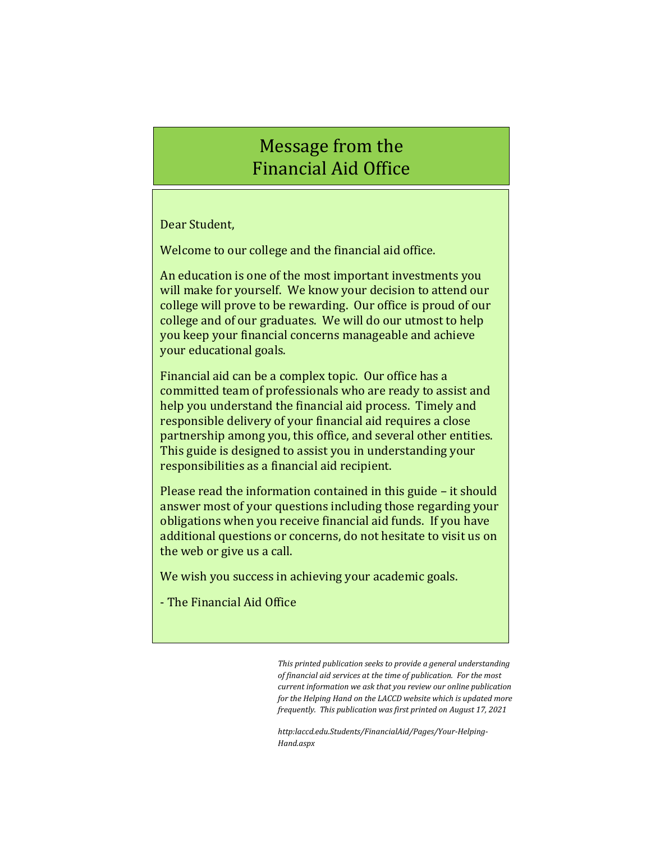# Message from the Financial Aid Office

Dear Student,

Welcome to our college and the financial aid office.

An education is one of the most important investments you will make for yourself. We know your decision to attend our college will prove to be rewarding. Our office is proud of our college and of our graduates. We will do our utmost to help you keep your financial concerns manageable and achieve your educational goals.

Financial aid can be a complex topic. Our office has a committed team of professionals who are ready to assist and help you understand the financial aid process. Timely and responsible delivery of your financial aid requires a close partnership among you, this office, and several other entities. This guide is designed to assist you in understanding your responsibilities as a financial aid recipient.

Please read the information contained in this guide – it should answer most of your questions including those regarding your obligations when you receive financial aid funds. If you have additional questions or concerns, do not hesitate to visit us on the web or give us a call.

We wish you success in achieving your academic goals.

- The Financial Aid Office

*This printed publication seeks to provide a general understanding of financial aid services at the time of publication. For the most current information we ask that you review our online publication for the Helping Hand on the LACCD website which is updated more frequently. This publication was first printed on August 17, 2021*

*http:laccd.edu.Students/FinancialAid/Pages/Your-Helping-Hand.aspx*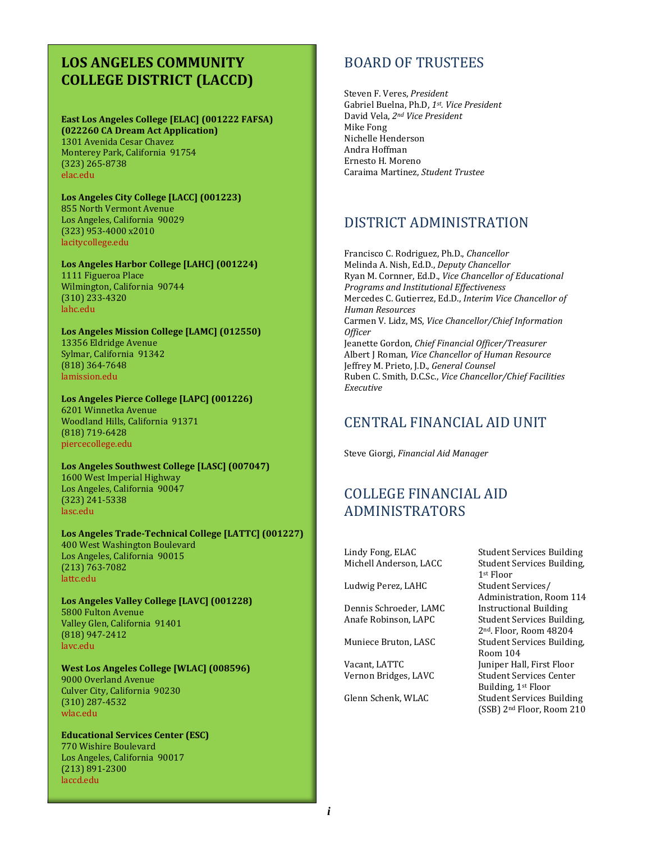## **LOS ANGELES COMMUNITY COLLEGE DISTRICT (LACCD)**

#### **East Los Angeles College [ELAC] (001222 FAFSA) (022260 CA Dream Act Application)** 1301 Avenida Cesar Chavez Monterey Park, California 91754 (323) 265-8738

**Los Angeles City College [LACC] (001223)** 855 North Vermont Avenue Los Angeles, California 90029 (323) 953-4000 x2010 [lacitycollege.edu](http://www.lacitycollege.edu/)

[elac.edu](http://www.elac.edu/)

**Los Angeles Harbor College [LAHC] (001224)** 1111 Figueroa Place Wilmington, California 90744 (310) 233-4320 [lahc.edu](http://www.lahc.edu/)

**Los Angeles Mission College [LAMC] (012550)** 13356 Eldridge Avenue Sylmar, California 91342 (818) 364-7648 [lamission.edu](http://www.lamission.edu/)

**Los Angeles Pierce College [LAPC] (001226)** 6201 Winnetka Avenue Woodland Hills, California 91371 (818) 719-6428 [piercecollege.edu](http://www.piercecollege.edu/)

**Los Angeles Southwest College [LASC] (007047)** 1600 West Imperial Highway Los Angeles, California 90047 (323) 241-5338 [lasc.edu](http://www.lasc.edu/)

**Los Angeles Trade-Technical College [LATTC] (001227)** 400 West Washington Boulevard Los Angeles, California 90015 (213) 763-7082 [lattc.edu](http://www.lattc.edu/)

**Los Angeles Valley College [LAVC] (001228)** 5800 Fulton Avenue Valley Glen, California 91401 (818) 947-2412 [lavc.edu](http://www.lavc.edu/)

**West Los Angeles College [WLAC] (008596)** 9000 Overland Avenue Culver City, California 90230 (310) 287-4532 [wlac.edu](http://www.wlac.edu/)

**Educational Services Center (ESC)** 770 Wishire Boulevard Los Angeles, California 90017 (213) 891-2300 [laccd.edu](http://www.laccd.edu/)

## BOARD OF TRUSTEES

Steven F. Veres, *President* Gabriel Buelna, Ph.D, *1st . Vice President* David Vela, *2nd Vice President* Mike Fong Nichelle Henderson Andra Hoffman Ernesto H. Moreno Caraima Martinez, *Student Trustee*

## DISTRICT ADMINISTRATION

Francisco C. Rodriguez, Ph.D., *Chancellor* Melinda A. Nish, Ed.D., *Deputy Chancellor* Ryan M. Cornner, Ed.D., *Vice Chancellor of Educational Programs and Institutional Effectiveness* Mercedes C. Gutierrez, Ed.D., *Interim Vice Chancellor of Human Resources* Carmen V. Lidz, MS, *Vice Chancellor/Chief Information Officer* Jeanette Gordon, *Chief Financial Officer/Treasurer* Albert J Roman, *Vice Chancellor of Human Resource* Jeffrey M. Prieto, J.D., *General Counsel* Ruben C. Smith, D.C.Sc., *Vice Chancellor/Chief Facilities Executive*

## CENTRAL FINANCIAL AID UNIT

Steve Giorgi, *Financial Aid Manager*

## COLLEGE FINANCIAL AID ADMINISTRATORS

Lindy Fong, ELAC Student Services Building

Ludwig Perez, LAHC Student Services/

Dennis Schroeder, LAMC

Michell Anderson, LACC Student Services Building, 1st Floor Administration, Room 114 Anafe Robinson, LAPC Student Services Building, 2nd. Floor, Room 48204 Muniece Bruton, LASC Student Services Building, Room 104 Vacant, LATTC Juniper Hall, First Floor Vernon Bridges, LAVC Student Services Center Building, 1st Floor Glenn Schenk, WLAC Student Services Building (SSB) 2nd Floor, Room 210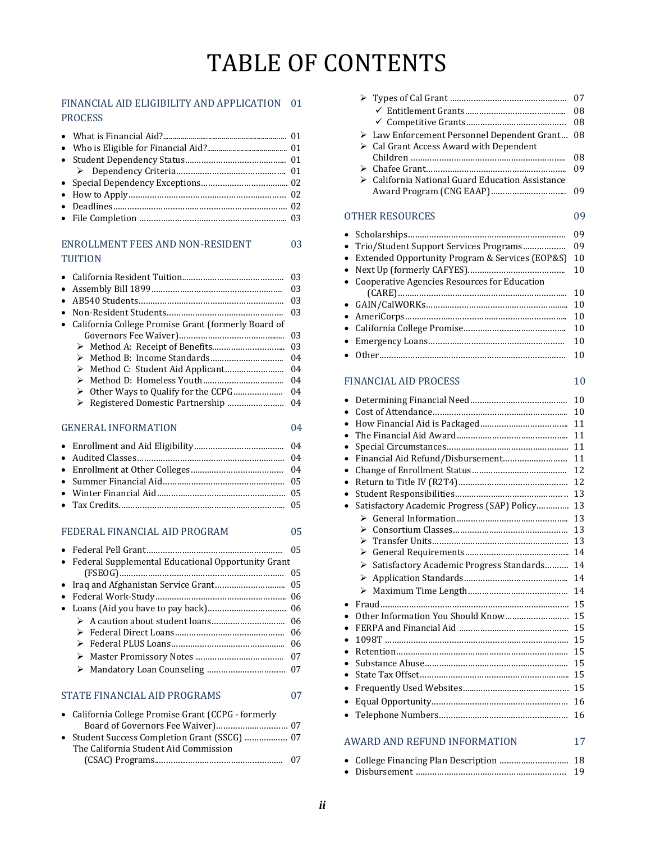# TABLE OF CONTENTS

#### FINANCIAL AID ELIGIBILITY AND APPLICATION 01 PROCESS

#### ENROLLMENT FEES AND NON-RESIDENT 03 TUITION

|                                                                                                                                                                                                                                                                                                                                                        | 03 |
|--------------------------------------------------------------------------------------------------------------------------------------------------------------------------------------------------------------------------------------------------------------------------------------------------------------------------------------------------------|----|
| $\bullet$                                                                                                                                                                                                                                                                                                                                              | 03 |
| $\bullet$                                                                                                                                                                                                                                                                                                                                              | 03 |
| $\bullet$                                                                                                                                                                                                                                                                                                                                              | 03 |
| California College Promise Grant (formerly Board of<br>$\bullet$                                                                                                                                                                                                                                                                                       |    |
|                                                                                                                                                                                                                                                                                                                                                        | 03 |
|                                                                                                                                                                                                                                                                                                                                                        | 03 |
|                                                                                                                                                                                                                                                                                                                                                        | 04 |
|                                                                                                                                                                                                                                                                                                                                                        | 04 |
| ↘                                                                                                                                                                                                                                                                                                                                                      | 04 |
| ⋗                                                                                                                                                                                                                                                                                                                                                      | 04 |
| Registered Domestic Partnership<br>⋗                                                                                                                                                                                                                                                                                                                   | 04 |
|                                                                                                                                                                                                                                                                                                                                                        |    |
| <b>GENERAL INFORMATION</b>                                                                                                                                                                                                                                                                                                                             | 04 |
| $\bullet$                                                                                                                                                                                                                                                                                                                                              | 04 |
| $\bullet$                                                                                                                                                                                                                                                                                                                                              | 04 |
| $\bullet$                                                                                                                                                                                                                                                                                                                                              | 04 |
| $\bullet$                                                                                                                                                                                                                                                                                                                                              | 05 |
| $\bullet$                                                                                                                                                                                                                                                                                                                                              | 05 |
| $\bullet$                                                                                                                                                                                                                                                                                                                                              | 05 |
|                                                                                                                                                                                                                                                                                                                                                        |    |
| FEDERAL FINANCIAL AID PROGRAM                                                                                                                                                                                                                                                                                                                          | 05 |
| $\overline{B}$ 1 10 1 $\overline{C}$ 1 $\overline{B}$ 1 $\overline{C}$ 1 $\overline{D}$ 1 $\overline{C}$ 1 $\overline{C}$ 1 $\overline{C}$ 1 $\overline{C}$ 1 $\overline{C}$ 1 $\overline{C}$ 1 $\overline{C}$ 1 $\overline{C}$ 1 $\overline{C}$ 1 $\overline{C}$ 1 $\overline{C}$ 1 $\overline{C}$ 1 $\overline{C}$ 1 $\overline{C}$ 1 $\overline{C}$ | 05 |
|                                                                                                                                                                                                                                                                                                                                                        |    |

| • Federal Supplemental Educational Opportunity Grant |
|------------------------------------------------------|
|                                                      |
|                                                      |
|                                                      |
|                                                      |
|                                                      |
|                                                      |
|                                                      |
|                                                      |
|                                                      |
|                                                      |
|                                                      |

#### STATE FINANCIAL AID PROGRAMS 07

| • California College Promise Grant (CCPG - formerly |     |
|-----------------------------------------------------|-----|
|                                                     |     |
|                                                     |     |
| The California Student Aid Commission               |     |
|                                                     | -07 |

| 07                                                               |
|------------------------------------------------------------------|
| 08                                                               |
| 08                                                               |
| $\triangleright$ Law Enforcement Personnel Dependent Grant<br>08 |
|                                                                  |
| 08                                                               |
| 09                                                               |
| $\triangleright$ California National Guard Education Assistance  |
| 09                                                               |
| 09                                                               |
| 09                                                               |
| • Trio/Student Support Services Programs<br>09                   |
| • Extended Opportunity Program & Services (EOP&S)<br>10          |
| 10                                                               |
|                                                                  |
| 10                                                               |
|                                                                  |

|--|--|--|

#### FINANCIAL AID PROCESS 10

|           |                                                                   | 10 |
|-----------|-------------------------------------------------------------------|----|
|           |                                                                   | 10 |
|           |                                                                   | 11 |
|           |                                                                   | 11 |
|           |                                                                   | 11 |
| $\bullet$ | Financial Aid Refund/Disbursement                                 | 11 |
|           |                                                                   | 12 |
| $\bullet$ |                                                                   | 12 |
|           |                                                                   | 13 |
|           | Satisfactory Academic Progress (SAP) Policy                       | 13 |
|           |                                                                   | 13 |
|           | ⋗                                                                 | 13 |
|           | ➤                                                                 | 13 |
|           |                                                                   | 14 |
|           | Satisfactory Academic Progress Standards<br>$\blacktriangleright$ | 14 |
|           | ⋗                                                                 | 14 |
|           |                                                                   | 14 |
| $\bullet$ |                                                                   | 15 |
|           | Other Information You Should Know                                 | 15 |
|           |                                                                   | 15 |
|           |                                                                   | 15 |
|           |                                                                   | 15 |
|           |                                                                   | 15 |
|           |                                                                   | 15 |
| $\bullet$ |                                                                   | 15 |
| $\bullet$ |                                                                   | 16 |
|           |                                                                   | 16 |
|           |                                                                   |    |
|           |                                                                   |    |
|           | <b>AWARD AND REFUND INFORMATION</b>                               | 17 |
|           |                                                                   |    |

|  | 19 |
|--|----|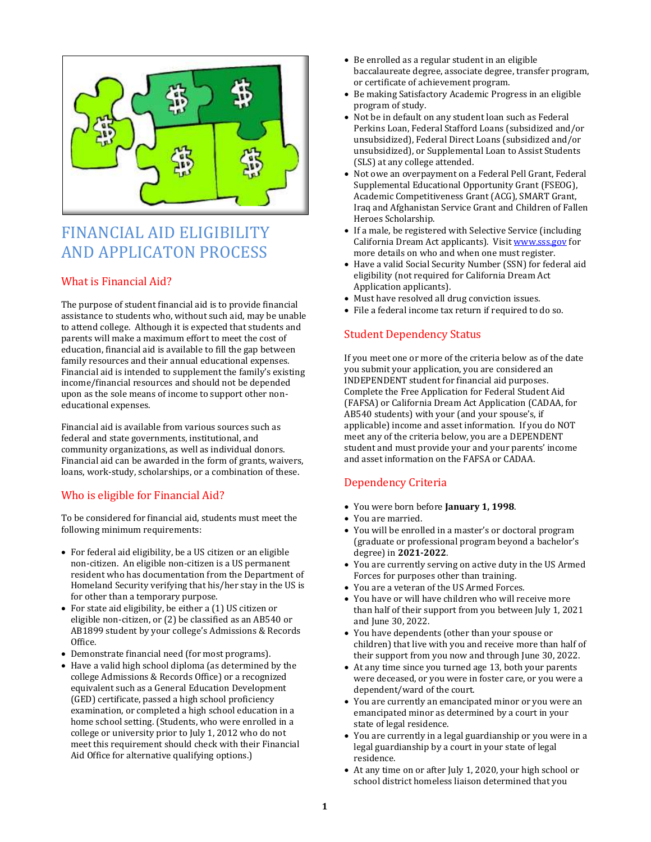

# FINANCIAL AID ELIGIBILITY AND APPLICATON PROCESS

#### What is Financial Aid?

The purpose of student financial aid is to provide financial assistance to students who, without such aid, may be unable to attend college. Although it is expected that students and parents will make a maximum effort to meet the cost of education, financial aid is available to fill the gap between family resources and their annual educational expenses. Financial aid is intended to supplement the family's existing income/financial resources and should not be depended upon as the sole means of income to support other noneducational expenses.

Financial aid is available from various sources such as federal and state governments, institutional, and community organizations, as well as individual donors. Financial aid can be awarded in the form of grants, waivers, loans, work-study, scholarships, or a combination of these.

#### Who is eligible for Financial Aid?

To be considered for financial aid, students must meet the following minimum requirements:

- For federal aid eligibility, be a US citizen or an eligible non-citizen. An eligible non-citizen is a US permanent resident who has documentation from the Department of Homeland Security verifying that his/her stay in the US is for other than a temporary purpose.
- For state aid eligibility, be either a (1) US citizen or eligible non-citizen, or (2) be classified as an AB540 or AB1899 student by your college's Admissions & Records Office.
- Demonstrate financial need (for most programs).
- Have a valid high school diploma (as determined by the college Admissions & Records Office) or a recognized equivalent such as a General Education Development (GED) certificate, passed a high school proficiency examination, or completed a high school education in a home school setting. (Students, who were enrolled in a college or university prior to July 1, 2012 who do not meet this requirement should check with their Financial Aid Office for alternative qualifying options.)
- Be enrolled as a regular student in an eligible baccalaureate degree, associate degree, transfer program, or certificate of achievement program.
- Be making Satisfactory Academic Progress in an eligible program of study.
- Not be in default on any student loan such as Federal Perkins Loan, Federal Stafford Loans (subsidized and/or unsubsidized), Federal Direct Loans (subsidized and/or unsubsidized), or Supplemental Loan to Assist Students (SLS) at any college attended.
- Not owe an overpayment on a Federal Pell Grant, Federal Supplemental Educational Opportunity Grant (FSEOG), Academic Competitiveness Grant (ACG), SMART Grant, Iraq and Afghanistan Service Grant and Children of Fallen Heroes Scholarship.
- If a male, be registered with Selective Service (including California Dream Act applicants). Visi[t www.sss.gov](http://www.sss.gov/) for more details on who and when one must register.
- Have a valid Social Security Number (SSN) for federal aid eligibility (not required for California Dream Act Application applicants).
- Must have resolved all drug conviction issues.
- File a federal income tax return if required to do so.

#### Student Dependency Status

If you meet one or more of the criteria below as of the date you submit your application, you are considered an INDEPENDENT student for financial aid purposes. Complete the Free Application for Federal Student Aid (FAFSA) or California Dream Act Application (CADAA, for AB540 students) with your (and your spouse's, if applicable) income and asset information. If you do NOT meet any of the criteria below, you are a DEPENDENT student and must provide your and your parents' income and asset information on the FAFSA or CADAA.

#### Dependency Criteria

- You were born before **January 1, 1998**.
- You are married.
- You will be enrolled in a master's or doctoral program (graduate or professional program beyond a bachelor's degree) in **2021-2022**.
- You are currently serving on active duty in the US Armed Forces for purposes other than training.
- You are a veteran of the US Armed Forces.
- You have or will have children who will receive more than half of their support from you between July 1, 2021 and June 30, 2022.
- You have dependents (other than your spouse or children) that live with you and receive more than half of their support from you now and through June 30, 2022.
- At any time since you turned age 13, both your parents were deceased, or you were in foster care, or you were a dependent/ward of the court.
- You are currently an emancipated minor or you were an emancipated minor as determined by a court in your state of legal residence.
- You are currently in a legal guardianship or you were in a legal guardianship by a court in your state of legal residence.
- At any time on or after July 1, 2020, your high school or school district homeless liaison determined that you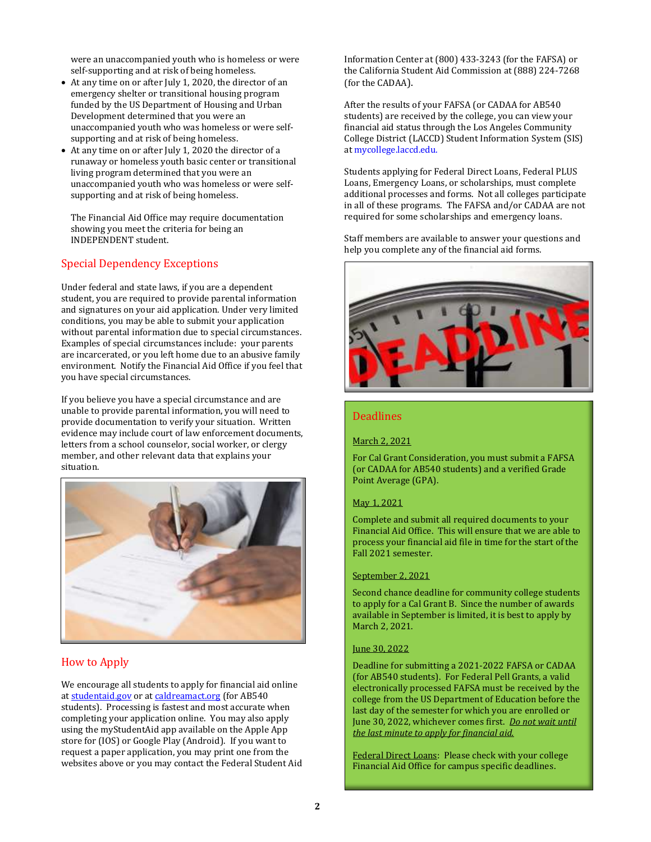were an unaccompanied youth who is homeless or were self-supporting and at risk of being homeless.

- At any time on or after July 1, 2020, the director of an emergency shelter or transitional housing program funded by the US Department of Housing and Urban Development determined that you were an unaccompanied youth who was homeless or were selfsupporting and at risk of being homeless.
- At any time on or after July 1, 2020 the director of a runaway or homeless youth basic center or transitional living program determined that you were an unaccompanied youth who was homeless or were selfsupporting and at risk of being homeless.

The Financial Aid Office may require documentation showing you meet the criteria for being an INDEPENDENT student.

#### Special Dependency Exceptions

Under federal and state laws, if you are a dependent student, you are required to provide parental information and signatures on your aid application. Under very limited conditions, you may be able to submit your application without parental information due to special circumstances. Examples of special circumstances include: your parents are incarcerated, or you left home due to an abusive family environment. Notify the Financial Aid Office if you feel that you have special circumstances.

If you believe you have a special circumstance and are unable to provide parental information, you will need to provide documentation to verify your situation. Written evidence may include court of law enforcement documents, letters from a school counselor, social worker, or clergy member, and other relevant data that explains your situation.



#### How to Apply

We encourage all students to apply for financial aid online a[t studentaid.gov](file:///C:/Users/garciarc/Documents/BROCHURES%20n%20FORMS/HELPINGhandbook/2020-21/2020-21%20HELPINGhandbook.docx) or a[t caldreamact.org](http://www.caldreamact.org/) (for AB540 students). Processing is fastest and most accurate when completing your application online. You may also apply using the myStudentAid app available on the Apple App store for (IOS) or Google Play (Android). If you want to request a paper application, you may print one from the websites above or you may contact the Federal Student Aid Information Center at (800) 433-3243 (for the FAFSA) or the California Student Aid Commission at (888) 224-7268 (for the CADAA).

After the results of your FAFSA (or CADAA for AB540 students) are received by the college, you can view your financial aid status through the Los Angeles Community College District (LACCD) Student Information System (SIS) a[t mycollege.laccd.edu.](http://www.mycollege.laccd.edu/)

Students applying for Federal Direct Loans, Federal PLUS Loans, Emergency Loans, or scholarships, must complete additional processes and forms. Not all colleges participate in all of these programs. The FAFSA and/or CADAA are not required for some scholarships and emergency loans.

Staff members are available to answer your questions and help you complete any of the financial aid forms.



#### Deadlines

#### March 2, 2021

For Cal Grant Consideration, you must submit a FAFSA (or CADAA for AB540 students) and a verified Grade Point Average (GPA).

#### May 1, 2021

Complete and submit all required documents to your Financial Aid Office. This will ensure that we are able to process your financial aid file in time for the start of the Fall 2021 semester.

#### September 2, 2021

Second chance deadline for community college students to apply for a Cal Grant B. Since the number of awards available in September is limited, it is best to apply by March 2, 2021.

#### June 30, 2022

Deadline for submitting a 2021-2022 FAFSA or CADAA (for AB540 students). For Federal Pell Grants, a valid electronically processed FAFSA must be received by the college from the US Department of Education before the last day of the semester for which you are enrolled or June 30, 2022, whichever comes first. *Do not wait until the last minute to apply for financial aid.*

Federal Direct Loans: Please check with your college Financial Aid Office for campus specific deadlines.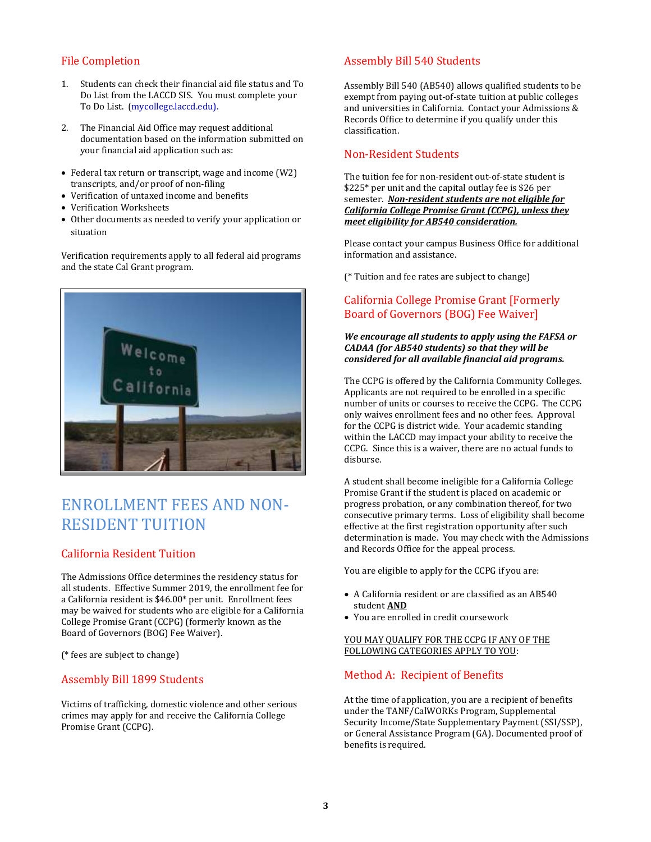#### File Completion

- 1. Students can check their financial aid file status and To Do List from the LACCD SIS. You must complete your To Do List. [\(mycollege.laccd.edu\)](http://www.mycollege.laccd.edu/).
- 2. The Financial Aid Office may request additional documentation based on the information submitted on your financial aid application such as:
- Federal tax return or transcript, wage and income (W2) transcripts, and/or proof of non-filing
- Verification of untaxed income and benefits
- Verification Worksheets
- Other documents as needed to verify your application or situation

Verification requirements apply to all federal aid programs and the state Cal Grant program.



## ENROLLMENT FEES AND NON-RESIDENT TUITION

#### California Resident Tuition

The Admissions Office determines the residency status for all students. Effective Summer 2019, the enrollment fee for a California resident is \$46.00\* per unit. Enrollment fees may be waived for students who are eligible for a California College Promise Grant (CCPG) (formerly known as the Board of Governors (BOG) Fee Waiver).

(\* fees are subject to change)

#### Assembly Bill 1899 Students

Victims of trafficking, domestic violence and other serious crimes may apply for and receive the California College Promise Grant (CCPG).

#### Assembly Bill 540 Students

Assembly Bill 540 (AB540) allows qualified students to be exempt from paying out-of-state tuition at public colleges and universities in California. Contact your Admissions & Records Office to determine if you qualify under this classification.

#### Non-Resident Students

The tuition fee for non-resident out-of-state student is \$225\* per unit and the capital outlay fee is \$26 per semester. *Non-resident students are not eligible for California College Promise Grant (CCPG), unless they meet eligibility for AB540 consideration.*

Please contact your campus Business Office for additional information and assistance.

(\* Tuition and fee rates are subject to change)

#### California College Promise Grant [Formerly Board of Governors (BOG) Fee Waiver]

#### *We encourage all students to apply using the FAFSA or CADAA (for AB540 students) so that they will be considered for all available financial aid programs.*

The CCPG is offered by the California Community Colleges. Applicants are not required to be enrolled in a specific number of units or courses to receive the CCPG. The CCPG only waives enrollment fees and no other fees. Approval for the CCPG is district wide. Your academic standing within the LACCD may impact your ability to receive the CCPG. Since this is a waiver, there are no actual funds to disburse.

A student shall become ineligible for a California College Promise Grant if the student is placed on academic or progress probation, or any combination thereof, for two consecutive primary terms. Loss of eligibility shall become effective at the first registration opportunity after such determination is made. You may check with the Admissions and Records Office for the appeal process.

You are eligible to apply for the CCPG if you are:

- A California resident or are classified as an AB540 student **AND**
- You are enrolled in credit coursework

#### YOU MAY QUALIFY FOR THE CCPG IF ANY OF THE FOLLOWING CATEGORIES APPLY TO YOU:

#### Method A: Recipient of Benefits

At the time of application, you are a recipient of benefits under the TANF/CalWORKs Program, Supplemental Security Income/State Supplementary Payment (SSI/SSP), or General Assistance Program (GA). Documented proof of benefits is required.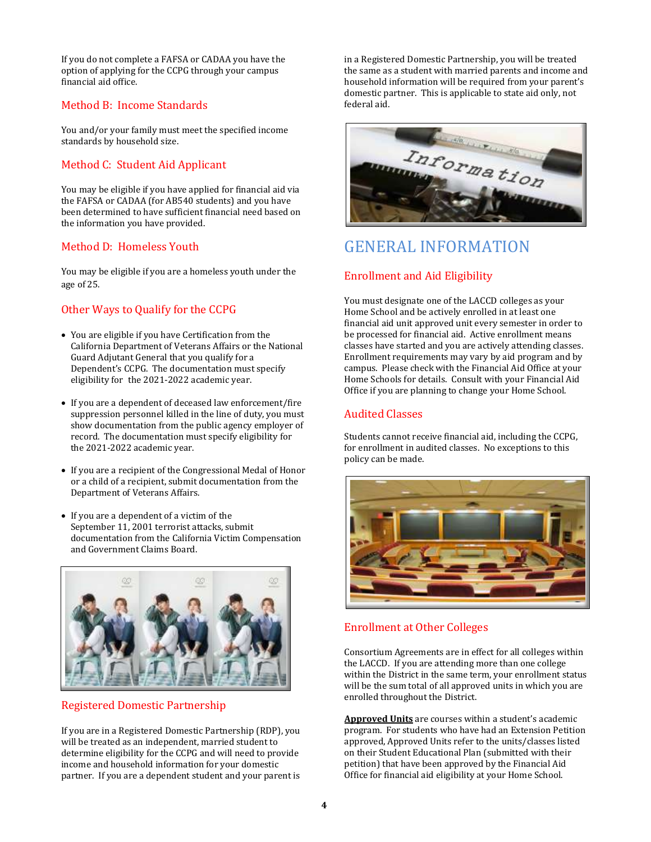If you do not complete a FAFSA or CADAA you have the option of applying for the CCPG through your campus financial aid office.

#### Method B: Income Standards

You and/or your family must meet the specified income standards by household size.

#### Method C: Student Aid Applicant

You may be eligible if you have applied for financial aid via the FAFSA or CADAA (for AB540 students) and you have been determined to have sufficient financial need based on the information you have provided.

#### Method D: Homeless Youth

You may be eligible if you are a homeless youth under the age of 25.

#### Other Ways to Qualify for the CCPG

- You are eligible if you have Certification from the California Department of Veterans Affairs or the National Guard Adjutant General that you qualify for a Dependent's CCPG. The documentation must specify eligibility for the 2021-2022 academic year.
- If you are a dependent of deceased law enforcement/fire suppression personnel killed in the line of duty, you must show documentation from the public agency employer of record. The documentation must specify eligibility for the 2021-2022 academic year.
- If you are a recipient of the Congressional Medal of Honor or a child of a recipient, submit documentation from the Department of Veterans Affairs.
- If you are a dependent of a victim of the September 11, 2001 terrorist attacks, submit documentation from the California Victim Compensation and Government Claims Board.



#### Registered Domestic Partnership

If you are in a Registered Domestic Partnership (RDP), you will be treated as an independent, married student to determine eligibility for the CCPG and will need to provide income and household information for your domestic partner. If you are a dependent student and your parent is

in a Registered Domestic Partnership, you will be treated the same as a student with married parents and income and household information will be required from your parent's domestic partner. This is applicable to state aid only, not federal aid.



## GENERAL INFORMATION

#### Enrollment and Aid Eligibility

You must designate one of the LACCD colleges as your Home School and be actively enrolled in at least one financial aid unit approved unit every semester in order to be processed for financial aid. Active enrollment means classes have started and you are actively attending classes. Enrollment requirements may vary by aid program and by campus. Please check with the Financial Aid Office at your Home Schools for details. Consult with your Financial Aid Office if you are planning to change your Home School.

#### Audited Classes

Students cannot receive financial aid, including the CCPG, for enrollment in audited classes. No exceptions to this policy can be made.



#### Enrollment at Other Colleges

Consortium Agreements are in effect for all colleges within the LACCD. If you are attending more than one college within the District in the same term, your enrollment status will be the sum total of all approved units in which you are enrolled throughout the District.

**Approved Units** are courses within a student's academic program. For students who have had an Extension Petition approved, Approved Units refer to the units/classes listed on their Student Educational Plan (submitted with their petition) that have been approved by the Financial Aid Office for financial aid eligibility at your Home School.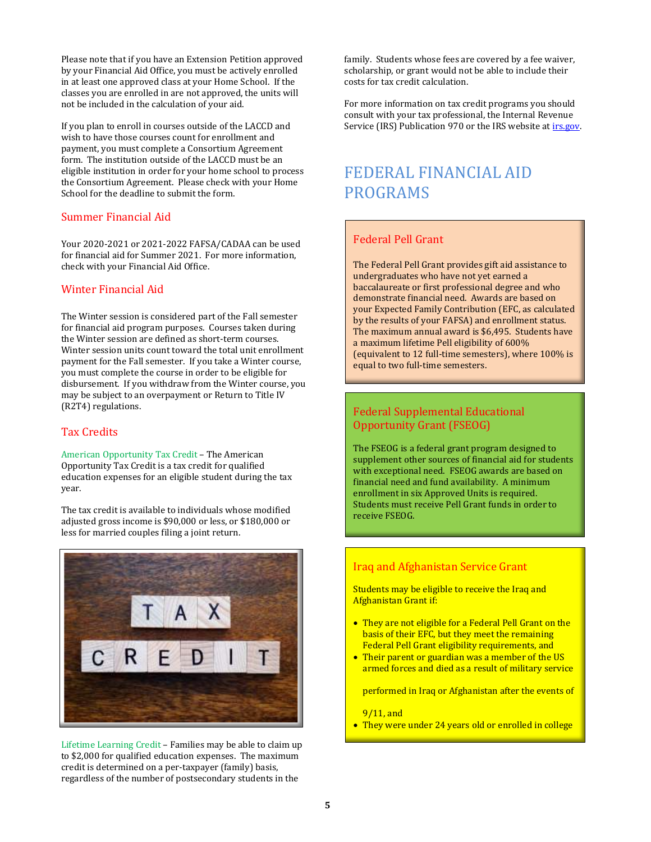Please note that if you have an Extension Petition approved by your Financial Aid Office, you must be actively enrolled in at least one approved class at your Home School. If the classes you are enrolled in are not approved, the units will not be included in the calculation of your aid.

If you plan to enroll in courses outside of the LACCD and wish to have those courses count for enrollment and payment, you must complete a Consortium Agreement form. The institution outside of the LACCD must be an eligible institution in order for your home school to process the Consortium Agreement. Please check with your Home School for the deadline to submit the form.

#### Summer Financial Aid

Your 2020-2021 or 2021-2022 FAFSA/CADAA can be used for financial aid for Summer 2021. For more information, check with your Financial Aid Office.

#### Winter Financial Aid

The Winter session is considered part of the Fall semester for financial aid program purposes. Courses taken during the Winter session are defined as short-term courses. Winter session units count toward the total unit enrollment payment for the Fall semester. If you take a Winter course, you must complete the course in order to be eligible for disbursement. If you withdraw from the Winter course, you may be subject to an overpayment or Return to Title IV (R2T4) regulations.

#### Tax Credits

American Opportunity Tax Credit – The American Opportunity Tax Credit is a tax credit for qualified education expenses for an eligible student during the tax year.

The tax credit is available to individuals whose modified adjusted gross income is \$90,000 or less, or \$180,000 or less for married couples filing a joint return.



Lifetime Learning Credit – Families may be able to claim up to \$2,000 for qualified education expenses. The maximum credit is determined on a per-taxpayer (family) basis, regardless of the number of postsecondary students in the

family. Students whose fees are covered by a fee waiver, scholarship, or grant would not be able to include their costs for tax credit calculation.

For more information on tax credit programs you should consult with your tax professional, the Internal Revenue Service (IRS) Publication 970 or the IRS website at *irs.gov*.

## FEDERAL FINANCIAL AID PROGRAMS

#### Federal Pell Grant

The Federal Pell Grant provides gift aid assistance to undergraduates who have not yet earned a baccalaureate or first professional degree and who demonstrate financial need. Awards are based on your Expected Family Contribution (EFC, as calculated by the results of your FAFSA) and enrollment status. The maximum annual award is \$6,495. Students have a maximum lifetime Pell eligibility of 600% (equivalent to 12 full-time semesters), where 100% is equal to two full-time semesters.

#### Federal Supplemental Educational Opportunity Grant (FSEOG)

The FSEOG is a federal grant program designed to supplement other sources of financial aid for students with exceptional need. FSEOG awards are based on financial need and fund availability. A minimum enrollment in six Approved Units is required. Students must receive Pell Grant funds in order to receive FSEOG.

#### Iraq and Afghanistan Service Grant

Students may be eligible to receive the Iraq and Afghanistan Grant if:

- They are not eligible for a Federal Pell Grant on the basis of their EFC, but they meet the remaining Federal Pell Grant eligibility requirements, and
- Their parent or guardian was a member of the US armed forces and died as a result of military service

performed in Iraq or Afghanistan after the events of

9/11, and

• They were under 24 years old or enrolled in college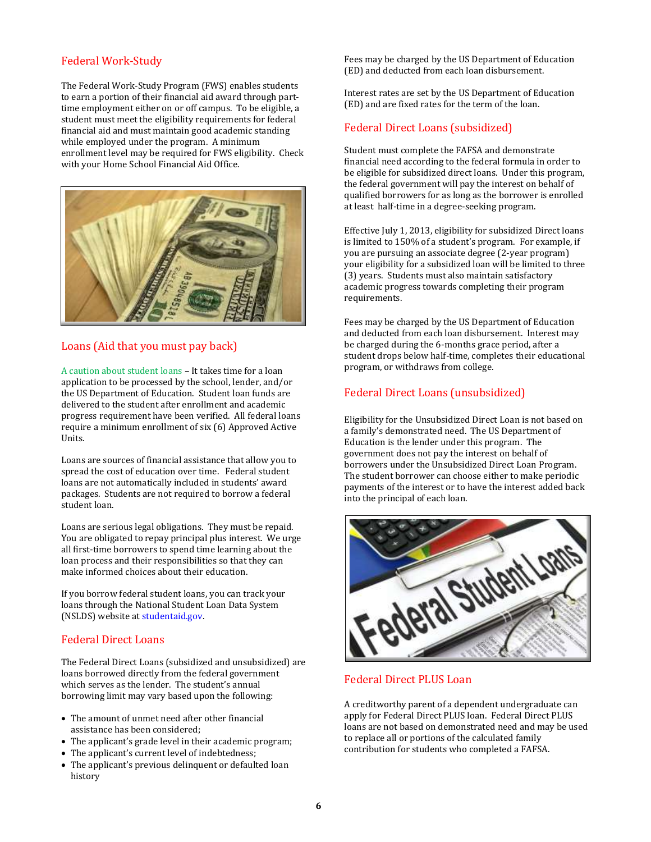#### Federal Work-Study

The Federal Work-Study Program (FWS) enables students to earn a portion of their financial aid award through parttime employment either on or off campus. To be eligible, a student must meet the eligibility requirements for federal financial aid and must maintain good academic standing while employed under the program. A minimum enrollment level may be required for FWS eligibility. Check with your Home School Financial Aid Office.



#### Loans (Aid that you must pay back)

A caution about student loans – It takes time for a loan application to be processed by the school, lender, and/or the US Department of Education. Student loan funds are delivered to the student after enrollment and academic progress requirement have been verified. All federal loans require a minimum enrollment of six (6) Approved Active Units.

Loans are sources of financial assistance that allow you to spread the cost of education over time. Federal student loans are not automatically included in students' award packages. Students are not required to borrow a federal student loan.

Loans are serious legal obligations. They must be repaid. You are obligated to repay principal plus interest. We urge all first-time borrowers to spend time learning about the loan process and their responsibilities so that they can make informed choices about their education.

If you borrow federal student loans, you can track your loans through the National Student Loan Data System (NSLDS) website at [studentaid.gov.](http://www.nslds.ed.gov/)

#### Federal Direct Loans

The Federal Direct Loans (subsidized and unsubsidized) are loans borrowed directly from the federal government which serves as the lender. The student's annual borrowing limit may vary based upon the following:

- The amount of unmet need after other financial assistance has been considered;
- The applicant's grade level in their academic program;
- The applicant's current level of indebtedness;
- The applicant's previous delinquent or defaulted loan history

Fees may be charged by the US Department of Education (ED) and deducted from each loan disbursement.

Interest rates are set by the US Department of Education (ED) and are fixed rates for the term of the loan.

#### Federal Direct Loans (subsidized)

Student must complete the FAFSA and demonstrate financial need according to the federal formula in order to be eligible for subsidized direct loans. Under this program, the federal government will pay the interest on behalf of qualified borrowers for as long as the borrower is enrolled at least half-time in a degree-seeking program.

Effective July 1, 2013, eligibility for subsidized Direct loans is limited to 150% of a student's program. For example, if you are pursuing an associate degree (2-year program) your eligibility for a subsidized loan will be limited to three (3) years. Students must also maintain satisfactory academic progress towards completing their program requirements.

Fees may be charged by the US Department of Education and deducted from each loan disbursement. Interest may be charged during the 6-months grace period, after a student drops below half-time, completes their educational program, or withdraws from college.

#### Federal Direct Loans (unsubsidized)

Eligibility for the Unsubsidized Direct Loan is not based on a family's demonstrated need. The US Department of Education is the lender under this program. The government does not pay the interest on behalf of borrowers under the Unsubsidized Direct Loan Program. The student borrower can choose either to make periodic payments of the interest or to have the interest added back into the principal of each loan.



#### Federal Direct PLUS Loan

A creditworthy parent of a dependent undergraduate can apply for Federal Direct PLUS loan. Federal Direct PLUS loans are not based on demonstrated need and may be used to replace all or portions of the calculated family contribution for students who completed a FAFSA.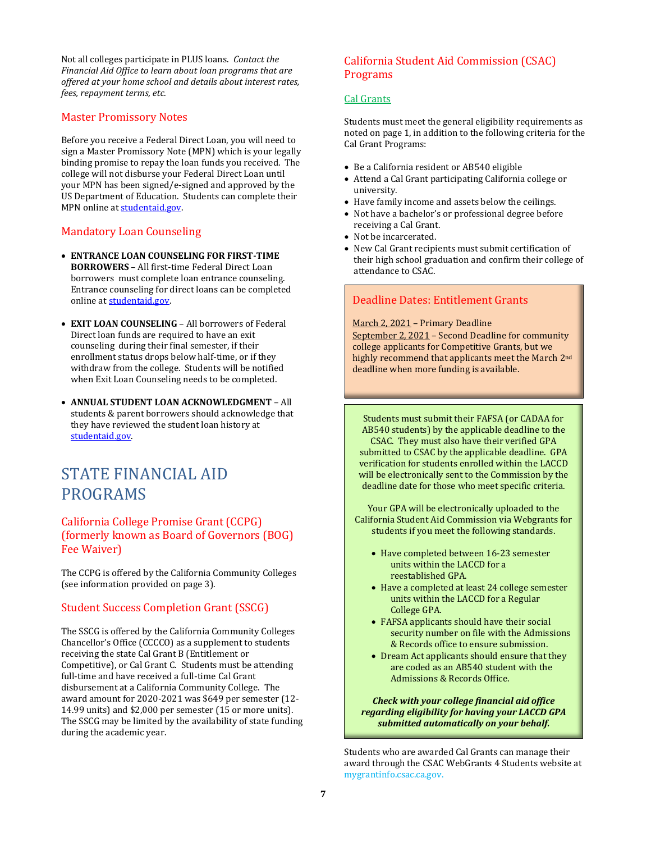Not all colleges participate in PLUS loans. *Contact the Financial Aid Office to learn about loan programs that are offered at your home school and details about interest rates, fees, repayment terms, etc.*

#### Master Promissory Notes

Before you receive a Federal Direct Loan, you will need to sign a Master Promissory Note (MPN) which is your legally binding promise to repay the loan funds you received. The college will not disburse your Federal Direct Loan until your MPN has been signed/e-signed and approved by the US Department of Education. Students can complete their MPN online a[t studentaid.gov.](http://www.studentloans.gov/)

#### Mandatory Loan Counseling

- **ENTRANCE LOAN COUNSELING FOR FIRST-TIME BORROWERS** – All first-time Federal Direct Loan borrowers must complete loan entrance counseling. Entrance counseling for direct loans can be completed online a[t studentaid.gov.](http://www.studentloans.gov/)
- **EXIT LOAN COUNSELING** All borrowers of Federal Direct loan funds are required to have an exit counseling during their final semester, if their enrollment status drops below half-time, or if they withdraw from the college. Students will be notified when Exit Loan Counseling needs to be completed.
- **ANNUAL STUDENT LOAN ACKNOWLEDGMENT**  All students & parent borrowers should acknowledge that they have reviewed the student loan history at [studentaid.gov.](file:///C:/Users/garciarc/Documents/BROCHURES%20n%20FORMS/HELPINGhandbook/2020-21/2020-21%20HELPINGhandbook.docx)

## STATE FINANCIAL AID PROGRAMS

#### California College Promise Grant (CCPG) (formerly known as Board of Governors (BOG) Fee Waiver)

The CCPG is offered by the California Community Colleges (see information provided on page 3).

#### Student Success Completion Grant (SSCG)

The SSCG is offered by the California Community Colleges Chancellor's Office (CCCCO) as a supplement to students receiving the state Cal Grant B (Entitlement or Competitive), or Cal Grant C. Students must be attending full-time and have received a full-time Cal Grant disbursement at a California Community College. The award amount for 2020-2021 was \$649 per semester (12- 14.99 units) and \$2,000 per semester (15 or more units). The SSCG may be limited by the availability of state funding during the academic year.

#### California Student Aid Commission (CSAC) Programs

#### Cal Grants

Students must meet the general eligibility requirements as noted on page 1, in addition to the following criteria for the Cal Grant Programs:

- Be a California resident or AB540 eligible
- Attend a Cal Grant participating California college or university.
- Have family income and assets below the ceilings.
- Not have a bachelor's or professional degree before receiving a Cal Grant.
- Not be incarcerated.
- New Cal Grant recipients must submit certification of their high school graduation and confirm their college of attendance to CSAC.

#### Deadline Dates: Entitlement Grants

March 2, 2021 – Primary Deadline

September 2, 2021 – Second Deadline for community college applicants for Competitive Grants, but we highly recommend that applicants meet the March 2nd deadline when more funding is available.

Students must submit their FAFSA (or CADAA for AB540 students) by the applicable deadline to the CSAC. They must also have their verified GPA submitted to CSAC by the applicable deadline. GPA verification for students enrolled within the LACCD will be electronically sent to the Commission by the deadline date for those who meet specific criteria.

Your GPA will be electronically uploaded to the California Student Aid Commission via Webgrants for students if you meet the following standards.

- Have completed between 16-23 semester units within the LACCD for a reestablished GPA.
- Have a completed at least 24 college semester units within the LACCD for a Regular College GPA.
- FAFSA applicants should have their social security number on file with the Admissions & Records office to ensure submission.
- Dream Act applicants should ensure that they are coded as an AB540 student with the Admissions & Records Office.

*Check with your college financial aid office regarding eligibility for having your LACCD GPA submitted automatically on your behalf.*

Students who are awarded Cal Grants can manage their award through the CSAC WebGrants 4 Students website at [mygrantinfo.csac.ca.gov.](http://www.webgrant4students.org/)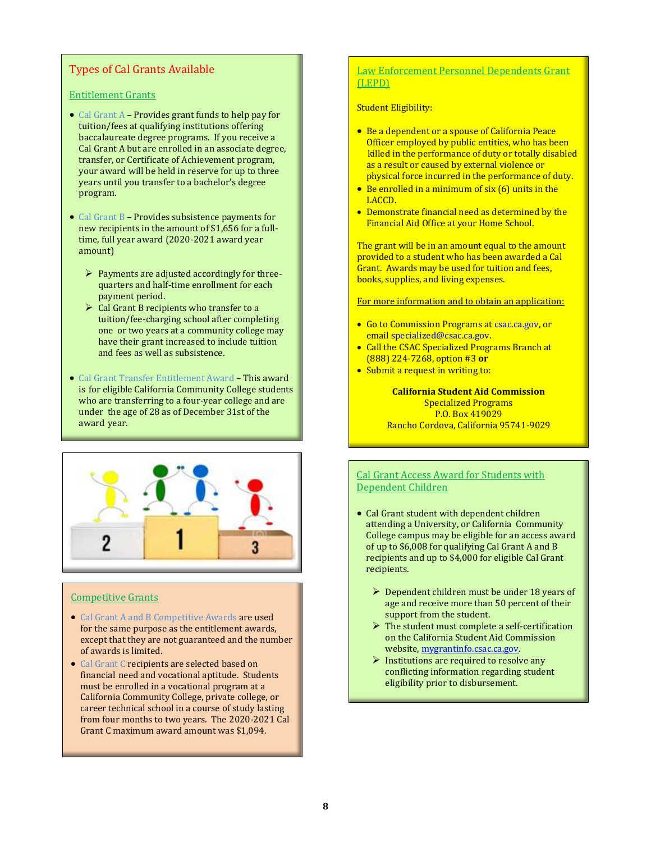#### Types of Cal Grants Available

#### Entitlement Grants

- Cal Grant A Provides grant funds to help pay for tuition/fees at qualifying institutions offering baccalaureate degree programs. If you receive a Cal Grant A but are enrolled in an associate degree, transfer, or Certificate of Achievement program, your award will be held in reserve for up to three years until you transfer to a bachelor's degree program.
- Cal Grant B Provides subsistence payments for new recipients in the amount of \$1,656 for a fulltime, full year award (2020-2021 award year amount)
	- ➢ Payments are adjusted accordingly for threequarters and half-time enrollment for each payment period.
	- $\triangleright$  Cal Grant B recipients who transfer to a tuition/fee-charging school after completing one or two years at a community college may have their grant increased to include tuition and fees as well as subsistence.
- Cal Grant Transfer Entitlement Award This award is for eligible California Community College students who are transferring to a four-year college and are under the age of 28 as of December 31st of the award year.



#### Competitive Grants

- Cal Grant A and B Competitive Awards are used for the same purpose as the entitlement awards, except that they are not guaranteed and the number of awards is limited.
- Cal Grant C recipients are selected based on financial need and vocational aptitude. Students must be enrolled in a vocational program at a California Community College, private college, or career technical school in a course of study lasting from four months to two years. The 2020-2021 Cal Grant C maximum award amount was \$1,094.

#### Law Enforcement Personnel Dependents Grant (LEPD)

#### Student Eligibility:

- Be a dependent or a spouse of California Peace Officer employed by public entities, who has been killed in the performance of duty or totally disabled as a result or caused by external violence or physical force incurred in the performance of duty.
- Be enrolled in a minimum of six (6) units in the LACCD.
- Demonstrate financial need as determined by the Financial Aid Office at your Home School.

The grant will be in an amount equal to the amount provided to a student who has been awarded a Cal Grant. Awards may be used for tuition and fees, books, supplies, and living expenses.

For more information and to obtain an application:

- Go to Commission Programs a[t csac.ca.gov,](http://www.csac.ca.gov/) or emai[l specialized@csac.ca.gov.](mailto:specialized@csac.ca.gov)
- Call the CSAC Specialized Programs Branch at (888) 224-7268, option #3 **or**
- Submit a request in writing to:

**California Student Aid Commission** Specialized Programs P.O. Box 419029 Rancho Cordova, California 95741-9029

#### Cal Grant Access Award for Students with Dependent Children

- Cal Grant student with dependent children attending a University, or California Community College campus may be eligible for an access award of up to \$6,008 for qualifying Cal Grant A and B recipients and up to \$4,000 for eligible Cal Grant recipients.
	- $\triangleright$  Dependent children must be under 18 years of age and receive more than 50 percent of their support from the student.
	- ➢ The student must complete a self-certification on the California Student Aid Commission website[, mygrantinfo.csac.ca.gov.](file:///C:/Users/G/Documents/RAZE/LACCDwork/2020-21%20HELPINGhandbook2.docx)
	- ➢ Institutions are required to resolve any conflicting information regarding student eligibility prior to disbursement.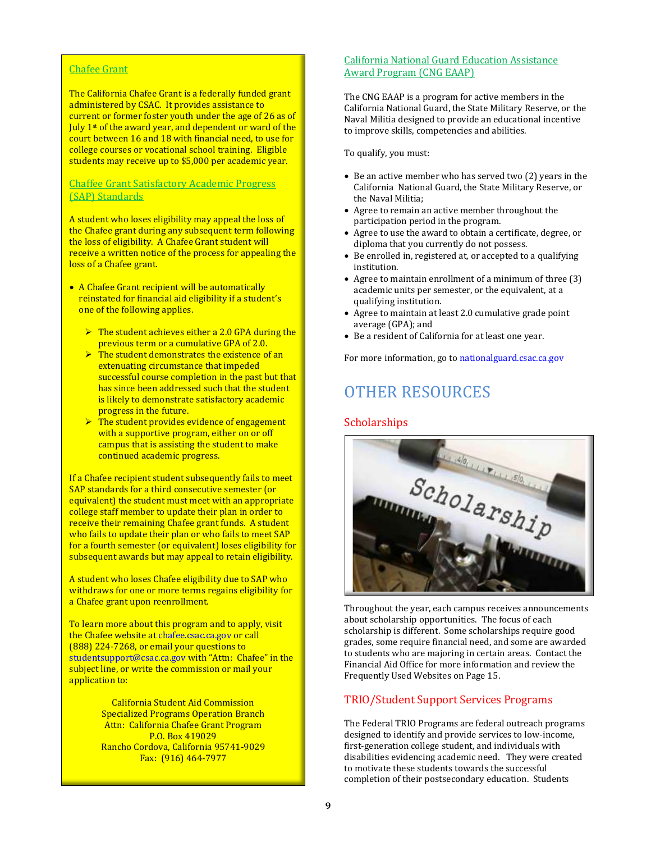#### Chafee Grant

The California Chafee Grant is a federally funded grant administered by CSAC. It provides assistance to current or former foster youth under the age of 26 as of July 1<sup>st</sup> of the award year, and dependent or ward of the court between 16 and 18 with financial need, to use for college courses or vocational school training. Eligible students may receive up to \$5,000 per academic year.

#### Chaffee Grant Satisfactory Academic Progress (SAP) Standards

A student who loses eligibility may appeal the loss of the Chafee grant during any subsequent term following the loss of eligibility. A Chafee Grant student will receive a written notice of the process for appealing the loss of a Chafee grant.

- A Chafee Grant recipient will be automatically reinstated for financial aid eligibility if a student's one of the following applies.
	- $\triangleright$  The student achieves either a 2.0 GPA during the previous term or a cumulative GPA of 2.0.
	- $\triangleright$  The student demonstrates the existence of an extenuating circumstance that impeded successful course completion in the past but that has since been addressed such that the student is likely to demonstrate satisfactory academic progress in the future.
	- $\triangleright$  The student provides evidence of engagement with a supportive program, either on or off campus that is assisting the student to make continued academic progress.

If a Chafee recipient student subsequently fails to meet SAP standards for a third consecutive semester (or equivalent) the student must meet with an appropriate college staff member to update their plan in order to receive their remaining Chafee grant funds. A student who fails to update their plan or who fails to meet SAP for a fourth semester (or equivalent) loses eligibility for subsequent awards but may appeal to retain eligibility.

A student who loses Chafee eligibility due to SAP who withdraws for one or more terms regains eligibility for a Chafee grant upon reenrollment.

To learn more about this program and to apply, visit the Chafee website a[t chafee.csac.ca.gov](http://www.chafee.csac.ca.gov/) or call (888) 224-7268, or email your questions to [studentsupport@csac.ca.gov](mailto:studentsupport@csac.ca.gov) with "Attn: Chafee" in the subject line, or write the commission or mail your application to:

> California Student Aid Commission Specialized Programs Operation Branch Attn: California Chafee Grant Program P.O. Box 419029 Rancho Cordova, California 95741-9029 Fax: (916) 464-7977

#### California National Guard Education Assistance Award Program (CNG EAAP)

The CNG EAAP is a program for active members in the California National Guard, the State Military Reserve, or the Naval Militia designed to provide an educational incentive to improve skills, competencies and abilities.

To qualify, you must:

- Be an active member who has served two (2) years in the California National Guard, the State Military Reserve, or the Naval Militia;
- Agree to remain an active member throughout the participation period in the program.
- Agree to use the award to obtain a certificate, degree, or diploma that you currently do not possess.
- Be enrolled in, registered at, or accepted to a qualifying institution.
- Agree to maintain enrollment of a minimum of three (3) academic units per semester, or the equivalent, at a qualifying institution.
- Agree to maintain at least 2.0 cumulative grade point average (GPA); and
- Be a resident of California for at least one year.

For more information, go t[o nationalguard.csac.ca.gov](http://www.nationalguard.csac.ca.gov/)

## OTHER RESOURCES

#### **Scholarships**



Throughout the year, each campus receives announcements about scholarship opportunities. The focus of each scholarship is different. Some scholarships require good grades, some require financial need, and some are awarded to students who are majoring in certain areas. Contact the Financial Aid Office for more information and review the Frequently Used Websites on Page 15.

#### TRIO/Student Support Services Programs

The Federal TRIO Programs are federal outreach programs designed to identify and provide services to low-income, first-generation college student, and individuals with disabilities evidencing academic need. They were created to motivate these students towards the successful completion of their postsecondary education. Students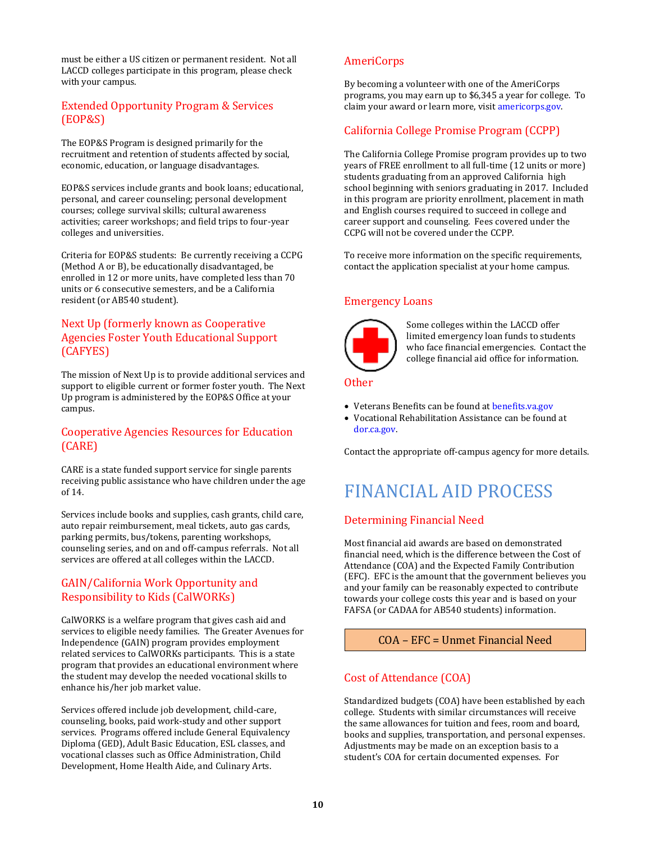must be either a US citizen or permanent resident. Not all LACCD colleges participate in this program, please check with your campus.

#### Extended Opportunity Program & Services (EOP&S)

The EOP&S Program is designed primarily for the recruitment and retention of students affected by social, economic, education, or language disadvantages.

EOP&S services include grants and book loans; educational, personal, and career counseling; personal development courses; college survival skills; cultural awareness activities; career workshops; and field trips to four-year colleges and universities.

Criteria for EOP&S students: Be currently receiving a CCPG (Method A or B), be educationally disadvantaged, be enrolled in 12 or more units, have completed less than 70 units or 6 consecutive semesters, and be a California resident (or AB540 student).

#### Next Up (formerly known as Cooperative Agencies Foster Youth Educational Support (CAFYES)

The mission of Next Up is to provide additional services and support to eligible current or former foster youth. The Next Up program is administered by the EOP&S Office at your campus.

#### Cooperative Agencies Resources for Education (CARE)

CARE is a state funded support service for single parents receiving public assistance who have children under the age of 14.

Services include books and supplies, cash grants, child care, auto repair reimbursement, meal tickets, auto gas cards, parking permits, bus/tokens, parenting workshops, counseling series, and on and off-campus referrals. Not all services are offered at all colleges within the LACCD.

#### GAIN/California Work Opportunity and Responsibility to Kids (CalWORKs)

CalWORKS is a welfare program that gives cash aid and services to eligible needy families. The Greater Avenues for Independence (GAIN) program provides employment related services to CalWORKs participants. This is a state program that provides an educational environment where the student may develop the needed vocational skills to enhance his/her job market value.

Services offered include job development, child-care, counseling, books, paid work-study and other support services. Programs offered include General Equivalency Diploma (GED), Adult Basic Education, ESL classes, and vocational classes such as Office Administration, Child Development, Home Health Aide, and Culinary Arts.

#### AmeriCorps

By becoming a volunteer with one of the AmeriCorps programs, you may earn up to \$6,345 a year for college. To claim your award or learn more, visi[t americorps.gov.](http://www.americorps.gov/)

#### California College Promise Program (CCPP)

The California College Promise program provides up to two years of FREE enrollment to all full-time (12 units or more) students graduating from an approved California high school beginning with seniors graduating in 2017. Included in this program are priority enrollment, placement in math and English courses required to succeed in college and career support and counseling. Fees covered under the CCPG will not be covered under the CCPP.

To receive more information on the specific requirements, contact the application specialist at your home campus.

#### Emergency Loans



Some colleges within the LACCD offer limited emergency loan funds to students who face financial emergencies. Contact the college financial aid office for information.

#### Other

- Veterans Benefits can be found a[t benefits.va.gov](http://www.benefits.va.gov/)
- Vocational Rehabilitation Assistance can be found at [dor.ca.gov.](http://www.dor.ca.gov/)

Contact the appropriate off-campus agency for more details.

# FINANCIAL AID PROCESS

#### Determining Financial Need

Most financial aid awards are based on demonstrated financial need, which is the difference between the Cost of Attendance (COA) and the Expected Family Contribution (EFC). EFC is the amount that the government believes you and your family can be reasonably expected to contribute towards your college costs this year and is based on your FAFSA (or CADAA for AB540 students) information.

#### COA – EFC = Unmet Financial Need

#### Cost of Attendance (COA)

Standardized budgets (COA) have been established by each college. Students with similar circumstances will receive the same allowances for tuition and fees, room and board, books and supplies, transportation, and personal expenses. Adjustments may be made on an exception basis to a student's COA for certain documented expenses. For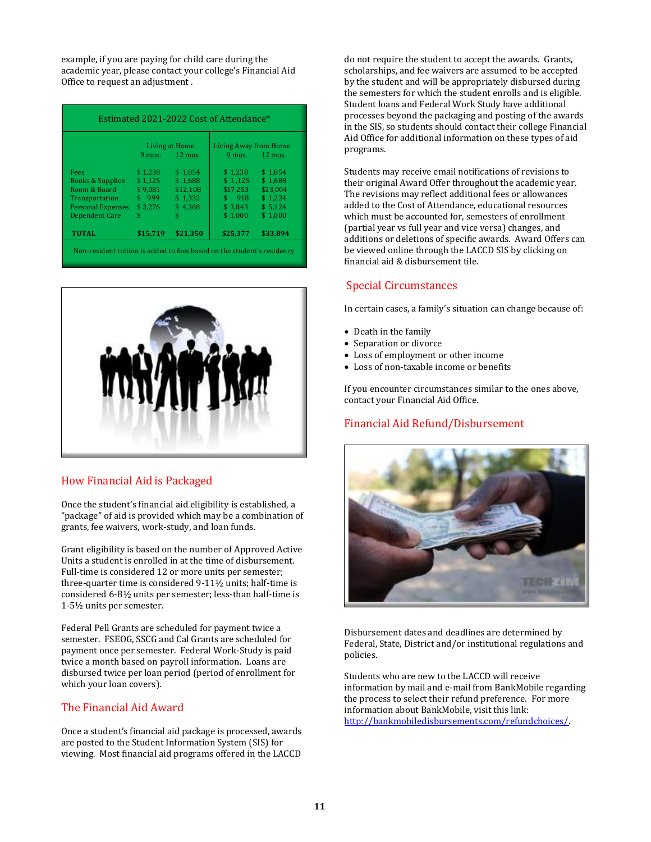example, if you are paying for child care during the academic year, please contact your college's Financial Aid Office to request an adjustment .

|                             | Living at Home |          | Living Away from Home |          |
|-----------------------------|----------------|----------|-----------------------|----------|
|                             | 9 mos.         | 12 mos.  | $9$ mos.              | 12 mos.  |
| Fees                        | \$1.238        | \$1.854  | \$1.238               | \$1.854  |
| <b>Books &amp; Supplies</b> | \$1.125        | \$1.688  | \$1.125               | \$1.688  |
| Room & Board                | \$9.081        | \$12.108 | \$17.253              | \$23,004 |
| Transportation              | \$999          | \$1.332  | \$918                 | \$1.224  |
| <b>Personal Expenses</b>    | \$3.276        | \$4.368  | \$3.843               | \$5.124  |
| <b>Dependent Care</b>       | \$             | \$       | \$1.000               | \$1.000  |
| <b>TOTAL</b>                | \$15,719       | \$21.350 | \$25,377              | \$33.894 |

Non-resident tuition is added to fees based on the student's residency



#### How Financial Aid is Packaged

Once the student's financial aid eligibility is established, a "package" of aid is provided which may be a combination of grants, fee waivers, work-study, and loan funds.

Grant eligibility is based on the number of Approved Active Units a student is enrolled in at the time of disbursement. Full-time is considered 12 or more units per semester; three-quarter time is considered 9-11½ units; half-time is considered 6-8½ units per semester; less-than half-time is 1-5½ units per semester.

Federal Pell Grants are scheduled for payment twice a semester. FSEOG, SSCG and Cal Grants are scheduled for payment once per semester. Federal Work-Study is paid twice a month based on payroll information. Loans are disbursed twice per loan period (period of enrollment for which your loan covers).

#### The Financial Aid Award

Once a student's financial aid package is processed, awards are posted to the Student Information System (SIS) for viewing. Most financial aid programs offered in the LACCD do not require the student to accept the awards. Grants, scholarships, and fee waivers are assumed to be accepted by the student and will be appropriately disbursed during the semesters for which the student enrolls and is eligible. Student loans and Federal Work Study have additional processes beyond the packaging and posting of the awards in the SIS, so students should contact their college Financial Aid Office for additional information on these types of aid programs.

Students may receive email notifications of revisions to their original Award Offer throughout the academic year. The revisions may reflect additional fees or allowances added to the Cost of Attendance, educational resources which must be accounted for, semesters of enrollment (partial year vs full year and vice versa) changes, and additions or deletions of specific awards. Award Offers can be viewed online through the LACCD SIS by clicking on financial aid & disbursement tile.

#### Special Circumstances

In certain cases, a family's situation can change because of:

- Death in the family
- Separation or divorce
- Loss of employment or other income
- Loss of non-taxable income or benefits

If you encounter circumstances similar to the ones above, contact your Financial Aid Office.

#### Financial Aid Refund/Disbursement



Disbursement dates and deadlines are determined by Federal, State, District and/or institutional regulations and policies.

Students who are new to the LACCD will receive information by mail and e-mail from BankMobile regarding the process to select their refund preference. For more information about BankMobile, visit this link: [http://bankmobiledisbursements.com/refundchoices/.](http://bankmobiledisbursements.com/refundchoices/)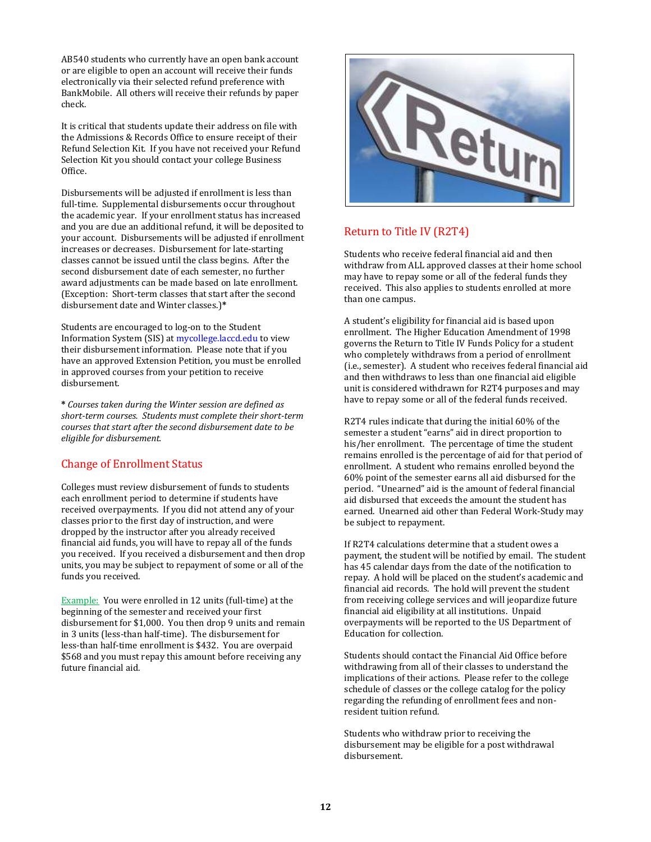AB540 students who currently have an open bank account or are eligible to open an account will receive their funds electronically via their selected refund preference with BankMobile. All others will receive their refunds by paper check.

It is critical that students update their address on file with the Admissions & Records Office to ensure receipt of their Refund Selection Kit. If you have not received your Refund Selection Kit you should contact your college Business Office.

Disbursements will be adjusted if enrollment is less than full-time. Supplemental disbursements occur throughout the academic year. If your enrollment status has increased and you are due an additional refund, it will be deposited to your account. Disbursements will be adjusted if enrollment increases or decreases. Disbursement for late-starting classes cannot be issued until the class begins. After the second disbursement date of each semester, no further award adjustments can be made based on late enrollment. (Exception: Short-term classes that start after the second disbursement date and Winter classes.)**\***

Students are encouraged to log-on to the Student Information System (SIS) at [mycollege.laccd.edu](http://www.mycollege.laccd.edu/) to view their disbursement information. Please note that if you have an approved Extension Petition, you must be enrolled in approved courses from your petition to receive disbursement.

**\*** *Courses taken during the Winter session are defined as short-term courses. Students must complete their short-term courses that start after the second disbursement date to be eligible for disbursement.*

#### Change of Enrollment Status

Colleges must review disbursement of funds to students each enrollment period to determine if students have received overpayments. If you did not attend any of your classes prior to the first day of instruction, and were dropped by the instructor after you already received financial aid funds, you will have to repay all of the funds you received. If you received a disbursement and then drop units, you may be subject to repayment of some or all of the funds you received.

Example: You were enrolled in 12 units (full-time) at the beginning of the semester and received your first disbursement for \$1,000. You then drop 9 units and remain in 3 units (less-than half-time). The disbursement for less-than half-time enrollment is \$432. You are overpaid \$568 and you must repay this amount before receiving any future financial aid.



#### Return to Title IV (R2T4)

Students who receive federal financial aid and then withdraw from ALL approved classes at their home school may have to repay some or all of the federal funds they received. This also applies to students enrolled at more than one campus.

A student's eligibility for financial aid is based upon enrollment. The Higher Education Amendment of 1998 governs the Return to Title IV Funds Policy for a student who completely withdraws from a period of enrollment (i.e., semester). A student who receives federal financial aid and then withdraws to less than one financial aid eligible unit is considered withdrawn for R2T4 purposes and may have to repay some or all of the federal funds received.

R2T4 rules indicate that during the initial 60% of the semester a student "earns" aid in direct proportion to his/her enrollment. The percentage of time the student remains enrolled is the percentage of aid for that period of enrollment. A student who remains enrolled beyond the 60% point of the semester earns all aid disbursed for the period. "Unearned" aid is the amount of federal financial aid disbursed that exceeds the amount the student has earned. Unearned aid other than Federal Work-Study may be subject to repayment.

If R2T4 calculations determine that a student owes a payment, the student will be notified by email. The student has 45 calendar days from the date of the notification to repay. A hold will be placed on the student's academic and financial aid records. The hold will prevent the student from receiving college services and will jeopardize future financial aid eligibility at all institutions. Unpaid overpayments will be reported to the US Department of Education for collection.

Students should contact the Financial Aid Office before withdrawing from all of their classes to understand the implications of their actions. Please refer to the college schedule of classes or the college catalog for the policy regarding the refunding of enrollment fees and nonresident tuition refund.

Students who withdraw prior to receiving the disbursement may be eligible for a post withdrawal disbursement.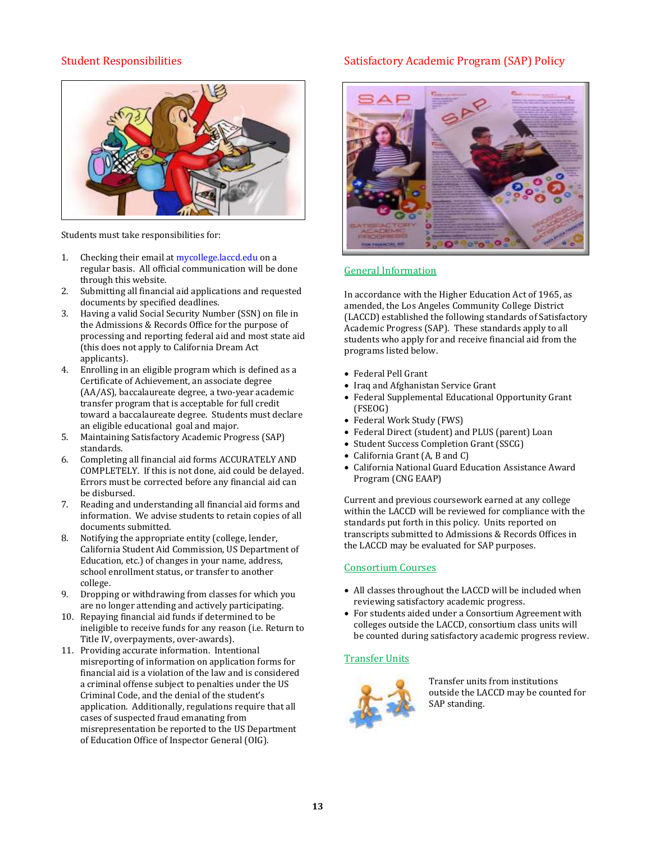#### Student Responsibilities



Students must take responsibilities for:

- 1. Checking their email a[t mycollege.laccd.edu](http://www.mycollege.laccd.edu/) on a regular basis. All official communication will be done through this website.
- 2. Submitting all financial aid applications and requested documents by specified deadlines.
- 3. Having a valid Social Security Number (SSN) on file in the Admissions & Records Office for the purpose of processing and reporting federal aid and most state aid (this does not apply to California Dream Act applicants).
- 4. Enrolling in an eligible program which is defined as a Certificate of Achievement, an associate degree (AA/AS), baccalaureate degree, a two-year academic transfer program that is acceptable for full credit toward a baccalaureate degree. Students must declare an eligible educational goal and major.
- 5. Maintaining Satisfactory Academic Progress (SAP) standards.
- 6. Completing all financial aid forms ACCURATELY AND COMPLETELY. If this is not done, aid could be delayed. Errors must be corrected before any financial aid can be disbursed.
- 7. Reading and understanding all financial aid forms and information. We advise students to retain copies of all documents submitted.
- 8. Notifying the appropriate entity (college, lender, California Student Aid Commission, US Department of Education, etc.) of changes in your name, address, school enrollment status, or transfer to another college.
- 9. Dropping or withdrawing from classes for which you are no longer attending and actively participating.
- 10. Repaying financial aid funds if determined to be ineligible to receive funds for any reason (i.e. Return to Title IV, overpayments, over-awards).
- 11. Providing accurate information. Intentional misreporting of information on application forms for financial aid is a violation of the law and is considered a criminal offense subject to penalties under the US Criminal Code, and the denial of the student's application. Additionally, regulations require that all cases of suspected fraud emanating from misrepresentation be reported to the US Department of Education Office of Inspector General (OIG).

#### Satisfactory Academic Program (SAP) Policy



#### General Information

In accordance with the Higher Education Act of 1965, as amended, the Los Angeles Community College District (LACCD) established the following standards of Satisfactory Academic Progress (SAP). These standards apply to all students who apply for and receive financial aid from the programs listed below.

- Federal Pell Grant
- Iraq and Afghanistan Service Grant
- Federal Supplemental Educational Opportunity Grant (FSEOG)
- Federal Work Study (FWS)
- Federal Direct (student) and PLUS (parent) Loan
- Student Success Completion Grant (SSCG)
- California Grant (A, B and C)
- California National Guard Education Assistance Award Program (CNG EAAP)

Current and previous coursework earned at any college within the LACCD will be reviewed for compliance with the standards put forth in this policy. Units reported on transcripts submitted to Admissions & Records Offices in the LACCD may be evaluated for SAP purposes.

#### Consortium Courses

- All classes throughout the LACCD will be included when reviewing satisfactory academic progress.
- For students aided under a Consortium Agreement with colleges outside the LACCD, consortium class units will be counted during satisfactory academic progress review.

#### Transfer Units



Transfer units from institutions outside the LACCD may be counted for SAP standing.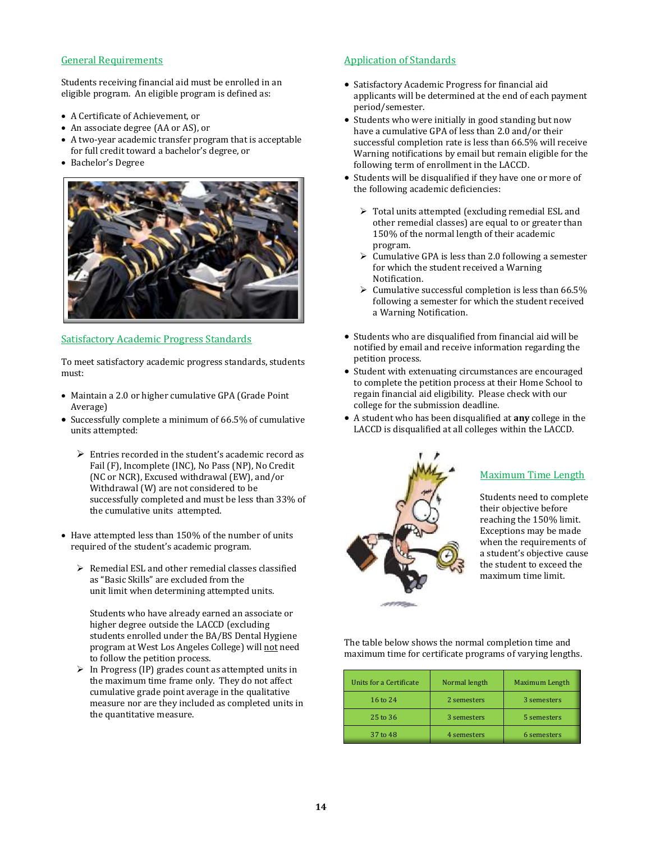#### General Requirements

Students receiving financial aid must be enrolled in an eligible program. An eligible program is defined as:

- A Certificate of Achievement, or
- An associate degree (AA or AS), or
- A two-year academic transfer program that is acceptable for full credit toward a bachelor's degree, or
- Bachelor's Degree



#### Satisfactory Academic Progress Standards

To meet satisfactory academic progress standards, students must:

- Maintain a 2.0 or higher cumulative GPA (Grade Point Average)
- Successfully complete a minimum of 66.5% of cumulative units attempted:
	- ➢ Entries recorded in the student's academic record as Fail (F), Incomplete (INC), No Pass (NP), No Credit (NC or NCR), Excused withdrawal (EW), and/or Withdrawal (W) are not considered to be successfully completed and must be less than 33% of the cumulative units attempted.
- Have attempted less than 150% of the number of units required of the student's academic program.
	- ➢ Remedial ESL and other remedial classes classified as "Basic Skills" are excluded from the unit limit when determining attempted units.

Students who have already earned an associate or higher degree outside the LACCD (excluding students enrolled under the BA/BS Dental Hygiene program at West Los Angeles College) will not need to follow the petition process.

➢ In Progress (IP) grades count as attempted units in the maximum time frame only. They do not affect cumulative grade point average in the qualitative measure nor are they included as completed units in the quantitative measure.

#### Application of Standards

- Satisfactory Academic Progress for financial aid applicants will be determined at the end of each payment period/semester.
- Students who were initially in good standing but now have a cumulative GPA of less than 2.0 and/or their successful completion rate is less than 66.5% will receive Warning notifications by email but remain eligible for the following term of enrollment in the LACCD.
- Students will be disqualified if they have one or more of the following academic deficiencies:
	- ➢ Total units attempted (excluding remedial ESL and other remedial classes) are equal to or greater than 150% of the normal length of their academic program.
	- $\triangleright$  Cumulative GPA is less than 2.0 following a semester for which the student received a Warning Notification.
	- $\triangleright$  Cumulative successful completion is less than 66.5% following a semester for which the student received a Warning Notification.
- Students who are disqualified from financial aid will be notified by email and receive information regarding the petition process.
- Student with extenuating circumstances are encouraged to complete the petition process at their Home School to regain financial aid eligibility. Please check with our college for the submission deadline.
- A student who has been disqualified at **any** college in the LACCD is disqualified at all colleges within the LACCD.



#### Maximum Time Length

Students need to complete their objective before reaching the 150% limit. Exceptions may be made when the requirements of a student's objective cause the student to exceed the maximum time limit.

The table below shows the normal completion time and maximum time for certificate programs of varying lengths.

| Units for a Certificate | Normal length | Maximum Length |
|-------------------------|---------------|----------------|
| 16 to 24                | 2 semesters   | 3 semesters    |
| 25 to 36                | 3 semesters   | 5 semesters    |
| 37 to 48                | 4 semesters   | 6 semesters    |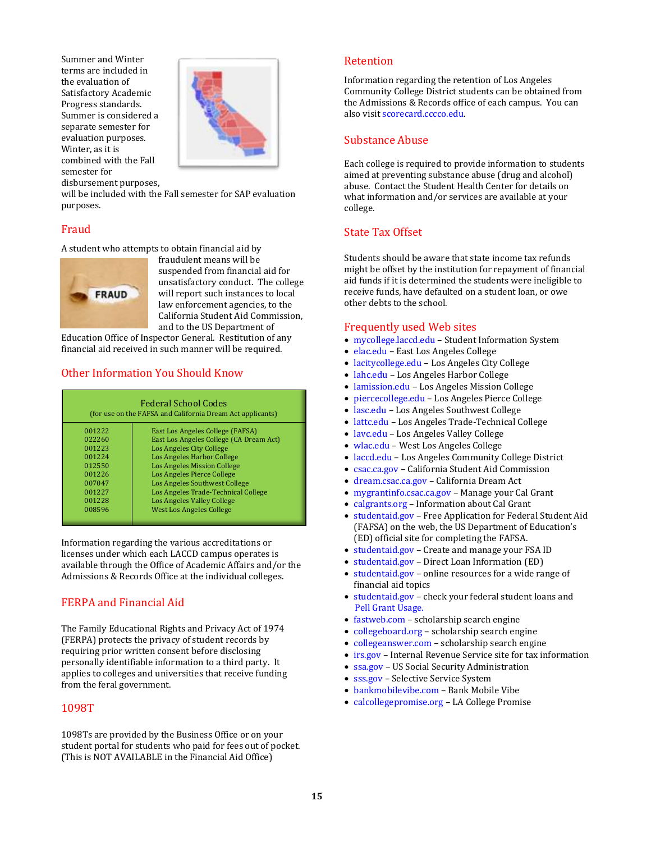Summer and Winter terms are included in the evaluation of Satisfactory Academic Progress standards. Summer is considered a separate semester for evaluation purposes. Winter, as it is combined with the Fall semester for disbursement purposes,



will be included with the Fall semester for SAP evaluation purposes.

#### Fraud

A student who attempts to obtain financial aid by



fraudulent means will be suspended from financial aid for unsatisfactory conduct. The college will report such instances to local law enforcement agencies, to the California Student Aid Commission, and to the US Department of

Education Office of Inspector General. Restitution of any financial aid received in such manner will be required.

#### Other Information You Should Know

| <b>Federal School Codes</b><br>(for use on the FAFSA and California Dream Act applicants) |                                         |  |  |  |
|-------------------------------------------------------------------------------------------|-----------------------------------------|--|--|--|
| 001222                                                                                    | East Los Angeles College (FAFSA)        |  |  |  |
| 022260                                                                                    | East Los Angeles College (CA Dream Act) |  |  |  |
| 001223                                                                                    | Los Angeles City College                |  |  |  |
| 001224                                                                                    | Los Angeles Harbor College              |  |  |  |
| 012550                                                                                    | <b>Los Angeles Mission College</b>      |  |  |  |
| 001226                                                                                    | Los Angeles Pierce College              |  |  |  |
| 007047                                                                                    | Los Angeles Southwest College           |  |  |  |
| 001227                                                                                    | Los Angeles Trade-Technical College     |  |  |  |
| 001228                                                                                    | Los Angeles Valley College              |  |  |  |
| 008596                                                                                    | <b>West Los Angeles College</b>         |  |  |  |

Information regarding the various accreditations or licenses under which each LACCD campus operates is available through the Office of Academic Affairs and/or the Admissions & Records Office at the individual colleges.

#### FERPA and Financial Aid

The Family Educational Rights and Privacy Act of 1974 (FERPA) protects the privacy of student records by requiring prior written consent before disclosing personally identifiable information to a third party. It applies to colleges and universities that receive funding from the feral government.

#### 1098T

1098Ts are provided by the Business Office or on your student portal for students who paid for fees out of pocket. (This is NOT AVAILABLE in the Financial Aid Office)

#### Retention

Information regarding the retention of Los Angeles Community College District students can be obtained from the Admissions & Records office of each campus. You can also visi[t scorecard.cccco.edu.](http://www.scorecard.cccco.edu/)

#### Substance Abuse

Each college is required to provide information to students aimed at preventing substance abuse (drug and alcohol) abuse. Contact the Student Health Center for details on what information and/or services are available at your college.

#### State Tax Offset

Students should be aware that state income tax refunds might be offset by the institution for repayment of financial aid funds if it is determined the students were ineligible to receive funds, have defaulted on a student loan, or owe other debts to the school.

#### Frequently used Web sites

- [mycollege.laccd.edu](http://www.mycollege.laccd.edu/) Student Information System
- [elac.edu](http://www.elac.edu/) East Los Angeles College
- [lacitycollege.edu](http://www.lacitycollege.edu/) Los Angeles City College
- [lahc.edu](http://www.lahc.edu/) Los Angeles Harbor College
- [lamission.edu](http://www.lamission.edu/) Los Angeles Mission College
- [piercecollege.edu](http://www.piercecollege.edu/) Los Angeles Pierce College
- [lasc.edu](http://www.lasc.edu/) Los Angeles Southwest College
- [lattc.edu](http://www.lattc.edu/) Los Angeles Trade-Technical College
- [lavc.edu](http://www.lavc.edu/) Los Angeles Valley College
- [wlac.edu](http://www.wlac.edu/) West Los Angeles College
- [laccd.edu](http://www.laccd.edu/) Los Angeles Community College District
- csac.ca.gov California Student Aid Commission
- dream.csac.ca.gov California Dream Act
- mygrantinfo.csac.ca.gov Manage your Cal Grant
- [calgrants.org](http://www.calgrants.org/) Information about Cal Grant
- [studenta](http://www.fafsa.gov/)id.gov Free Application for Federal Student Aid (FAFSA) on the web, the US Department of Education's (ED) official site for completing the FAFSA.
- [studentaid.gov](http://www.fsaid.ed.gov/) Create and manage your FSA ID
- [studentaid.gov](http://www.studentloans.gov/) Direct Loan Information (ED)
- [studentaid.gov](http://www.studentaid.gov/) online resources for a wide range of financial aid topics
- studentaid.gov check your federal student loans and Pell Grant Usage.
- [fastweb.com](http://www.fastweb.com/) scholarship search engine
- collegeboard.org scholarship search engine
- [collegeanswer.com](http://www.collegeanswer.com/) scholarship search engine
- [irs.gov](http://www.irs.gov/) Internal Revenue Service site for tax information
- [ssa.gov](http://www.ssa.gov/) US Social Security Administration
- [sss.gov](http://www.sss.gov/) Selective Service System
- [bankmobilevibe.com](http://www.bankmobilevibe.com/) Bank Mobile Vibe
- [calcollegepromise.org](http://www.lacollegepromise.org/) LA College Promise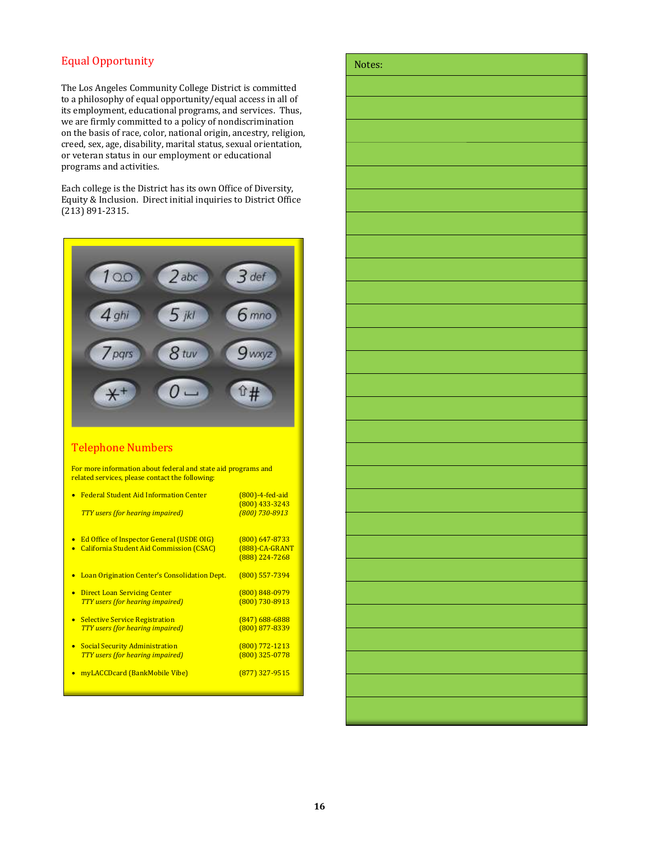#### Equal Opportunity

The Los Angeles Community College District is committed to a philosophy of equal opportunity/equal access in all of its employment, educational programs, and services. Thus, we are firmly committed to a policy of nondiscrimination on the basis of race, color, national origin, ancestry, religion, creed, sex, age, disability, marital status, sexual orientation, or veteran status in our employment or educational programs and activities.

Each college is the District has its own Office of Diversity, Equity & Inclusion. Direct initial inquiries to District Office (213) 891-2315.



#### Telephone Numbers

For more information about federal and state aid programs and related services, please contact the following:

| <b>Federal Student Aid Information Center</b>                 | $(800)$ -4-fed-aid<br>(800) 433-3243 |
|---------------------------------------------------------------|--------------------------------------|
| <b>TTY</b> users (for hearing impaired)                       | (800) 730-8913                       |
| <b>Ed Office of Inspector General (USDE OIG)</b><br>$\bullet$ | $(800)$ 647-8733                     |
| <b>California Student Aid Commission (CSAC)</b><br>$\bullet$  | (888)-CA-GRANT<br>$(888)$ 224-7268   |
| Loan Origination Center's Consolidation Dept.                 | $(800)$ 557-7394                     |
| <b>Direct Loan Servicing Center</b><br>$\bullet$              | $(800)$ 848-0979                     |
| <b>TTY</b> users (for hearing impaired)                       | $(800)$ 730-8913                     |
| <b>Selective Service Registration</b><br>$\bullet$            | $(847)$ 688-6888                     |
| <b>TTY</b> users (for hearing impaired)                       | $(800)$ 877-8339                     |
| <b>Social Security Administration</b><br>$\bullet$            | $(800)$ 772-1213                     |
| <b>TTY</b> users (for hearing impaired)                       | $(800)$ 325-0778                     |
| myLACCDcard (BankMobile Vibe)                                 | $(877)$ 327-9515                     |

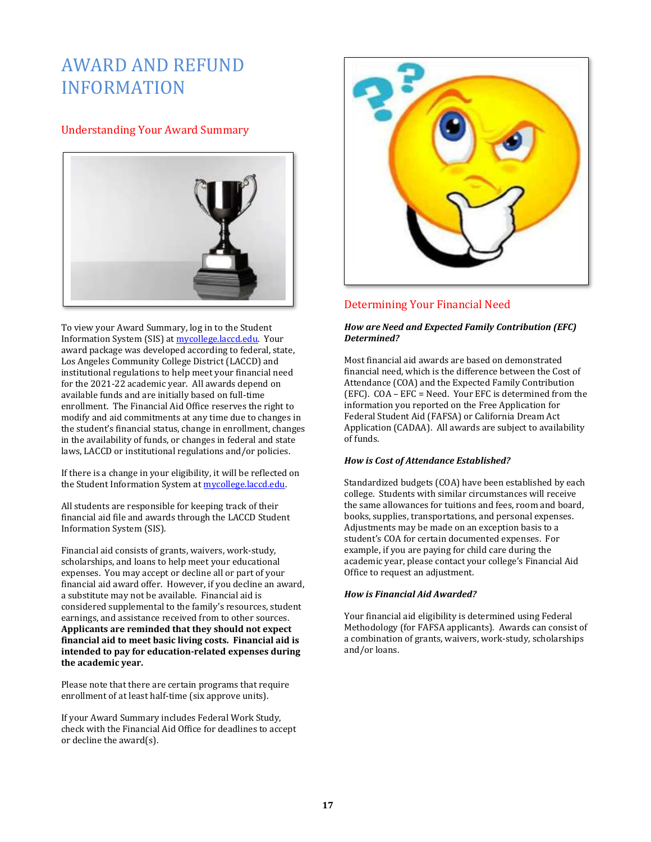# AWARD AND REFUND INFORMATION

#### Understanding Your Award Summary



To view your Award Summary, log in to the Student Information System (SIS) at [mycollege.laccd.edu.](file:///C:/Users/garciarc/Documents/BROCHURES%20n%20FORMS/HELPINGhandbook/2020-21/2020-21.docx) Your award package was developed according to federal, state, Los Angeles Community College District (LACCD) and institutional regulations to help meet your financial need for the 2021-22 academic year. All awards depend on available funds and are initially based on full-time enrollment. The Financial Aid Office reserves the right to modify and aid commitments at any time due to changes in the student's financial status, change in enrollment, changes in the availability of funds, or changes in federal and state laws, LACCD or institutional regulations and/or policies.

If there is a change in your eligibility, it will be reflected on the Student Information System a[t mycollege.laccd.edu.](file:///C:/Users/garciarc/Documents/BROCHURES%20n%20FORMS/HELPINGhandbook/2020-21/2020-21.docx)

All students are responsible for keeping track of their financial aid file and awards through the LACCD Student Information System (SIS).

Financial aid consists of grants, waivers, work-study, scholarships, and loans to help meet your educational expenses. You may accept or decline all or part of your financial aid award offer. However, if you decline an award, a substitute may not be available. Financial aid is considered supplemental to the family's resources, student earnings, and assistance received from to other sources. **Applicants are reminded that they should not expect financial aid to meet basic living costs. Financial aid is intended to pay for education-related expenses during the academic year.**

Please note that there are certain programs that require enrollment of at least half-time (six approve units).

If your Award Summary includes Federal Work Study, check with the Financial Aid Office for deadlines to accept or decline the award(s).



#### Determining Your Financial Need

#### *How are Need and Expected Family Contribution (EFC) Determined?*

Most financial aid awards are based on demonstrated financial need, which is the difference between the Cost of Attendance (COA) and the Expected Family Contribution (EFC). COA – EFC = Need. Your EFC is determined from the information you reported on the Free Application for Federal Student Aid (FAFSA) or California Dream Act Application (CADAA). All awards are subject to availability of funds.

#### *How is Cost of Attendance Established?*

Standardized budgets (COA) have been established by each college. Students with similar circumstances will receive the same allowances for tuitions and fees, room and board, books, supplies, transportations, and personal expenses. Adjustments may be made on an exception basis to a student's COA for certain documented expenses. For example, if you are paying for child care during the academic year, please contact your college's Financial Aid Office to request an adjustment.

#### *How is Financial Aid Awarded?*

Your financial aid eligibility is determined using Federal Methodology (for FAFSA applicants). Awards can consist of a combination of grants, waivers, work-study, scholarships and/or loans.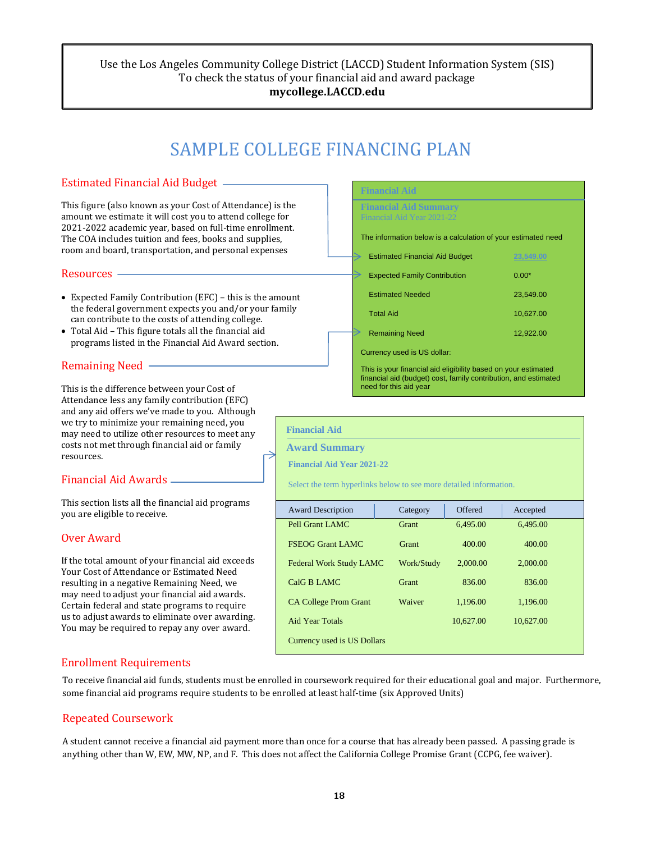#### Use the Los Angeles Community College District (LACCD) Student Information System (SIS) To check the status of your financial aid and award package **mycollege.LACCD.edu**

# SAMPLE COLLEGE FINANCING PLAN

#### Estimated Financial Aid Budget

This figure (also known as your Cost of Attendance) is the amount we estimate it will cost you to attend college for 2021-2022 academic year, based on full-time enrollment. The COA includes tuition and fees, books and supplies, room and board, transportation, and personal expenses

#### Resources

- Expected Family Contribution (EFC) this is the amount the federal government expects you and/or your family can contribute to the costs of attending college.
- Total Aid This figure totals all the financial aid programs listed in the Financial Aid Award section.

#### Remaining Need

This is the difference between your Cost of Attendance less any family contribution (EFC) and any aid offers we've made to you. Although we try to minimize your remaining need, you may need to utilize other resources to meet any costs not met through financial aid or family resources.

#### Financial Aid Awards

This section lists all the financial aid programs you are eligible to receive.

#### Over Award

If the total amount of your financial aid exceeds Your Cost of Attendance or Estimated Need resulting in a negative Remaining Need, we may need to adjust your financial aid awards. Certain federal and state programs to require us to adjust awards to eliminate over awarding. You may be required to repay any over award.

## **Financial Aid Financial Aid Summary** Financial Aid Year 2021-22 The information below is a calculation of your estimated need Estimated Financial Aid Budget **23,549.00** Expected Family Contribution 0.00\* Estimated Needed 23,549.00 Total Aid 10,627.00 Remaining Need 12,922.00 Currency used is US dollar: This is your financial aid eligibility based on your estimated financial aid (budget) cost, family contribution, and estimated need for this aid year

| <b>Financial Aid</b><br><b>Award Summary</b><br><b>Financial Aid Year 2021-22</b><br>Select the term hyperlinks below to see more detailed information. |            |           |           |  |
|---------------------------------------------------------------------------------------------------------------------------------------------------------|------------|-----------|-----------|--|
| <b>Award Description</b>                                                                                                                                | Category   | Offered   | Accepted  |  |
| Pell Grant LAMC                                                                                                                                         | Grant      | 6,495.00  | 6,495.00  |  |
| <b>FSEOG Grant LAMC</b>                                                                                                                                 | Grant      | 400.00    | 400.00    |  |
| Federal Work Study LAMC                                                                                                                                 | Work/Study | 2,000.00  | 2,000.00  |  |
| CalG B LAMC                                                                                                                                             | Grant      | 836.00    | 836.00    |  |
| <b>CA College Prom Grant</b>                                                                                                                            | Waiver     | 1,196.00  | 1,196.00  |  |
| <b>Aid Year Totals</b>                                                                                                                                  |            | 10,627.00 | 10,627.00 |  |
| Currency used is US Dollars                                                                                                                             |            |           |           |  |

#### Enrollment Requirements

To receive financial aid funds, students must be enrolled in coursework required for their educational goal and major. Furthermore, some financial aid programs require students to be enrolled at least half-time (six Approved Units)

#### Repeated Coursework

A student cannot receive a financial aid payment more than once for a course that has already been passed. A passing grade is anything other than W, EW, MW, NP, and F. This does not affect the California College Promise Grant (CCPG, fee waiver).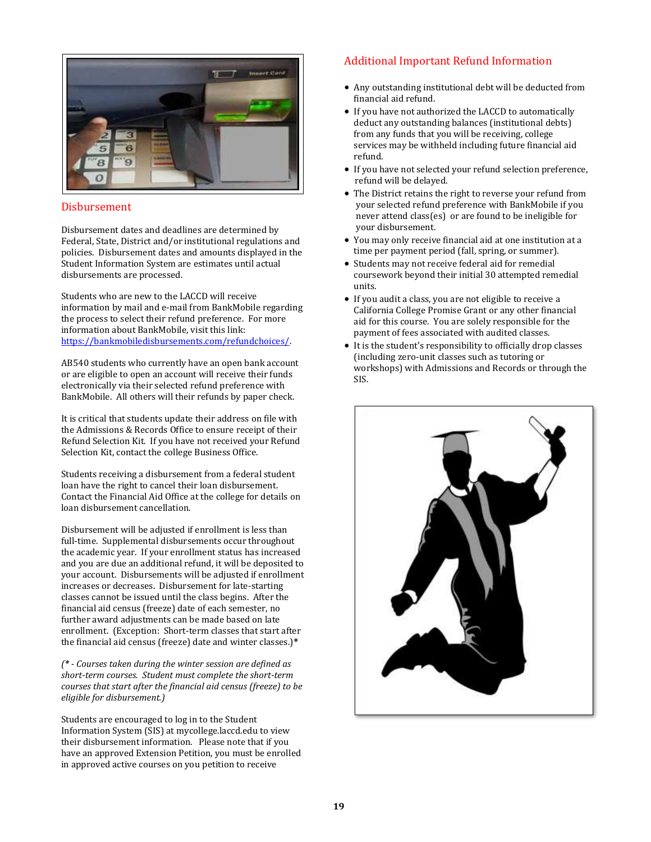

#### Disbursement

Disbursement dates and deadlines are determined by Federal, State, District and/or institutional regulations and policies. Disbursement dates and amounts displayed in the Student Information System are estimates until actual disbursements are processed.

Students who are new to the LACCD will receive information by mail and e-mail from BankMobile regarding the process to select their refund preference. For more information about BankMobile, visit this link: [https://bankmobiledisbursements.com/refundchoices/.](https://bankmobiledisbursements.com/refundchoices/)

AB540 students who currently have an open bank account or are eligible to open an account will receive their funds electronically via their selected refund preference with BankMobile. All others will their refunds by paper check.

It is critical that students update their address on file with the Admissions & Records Office to ensure receipt of their Refund Selection Kit. If you have not received your Refund Selection Kit, contact the college Business Office.

Students receiving a disbursement from a federal student loan have the right to cancel their loan disbursement. Contact the Financial Aid Office at the college for details on loan disbursement cancellation.

Disbursement will be adjusted if enrollment is less than full-time. Supplemental disbursements occur throughout the academic year. If your enrollment status has increased and you are due an additional refund, it will be deposited to your account. Disbursements will be adjusted if enrollment increases or decreases. Disbursement for late-starting classes cannot be issued until the class begins. After the financial aid census (freeze) date of each semester, no further award adjustments can be made based on late enrollment. (Exception: Short-term classes that start after the financial aid census (freeze) date and winter classes.)**\***

*(\* - Courses taken during the winter session are defined as short-term courses. Student must complete the short-term courses that start after the financial aid census (freeze) to be eligible for disbursement.)*

Students are encouraged to log in to the Student Information System (SIS) at mycollege.laccd.edu to view their disbursement information. Please note that if you have an approved Extension Petition, you must be enrolled in approved active courses on you petition to receive

#### Additional Important Refund Information

- Any outstanding institutional debt will be deducted from financial aid refund.
- If you have not authorized the LACCD to automatically deduct any outstanding balances (institutional debts) from any funds that you will be receiving, college services may be withheld including future financial aid refund.
- If you have not selected your refund selection preference, refund will be delayed.
- The District retains the right to reverse your refund from your selected refund preference with BankMobile if you never attend class(es) or are found to be ineligible for your disbursement.
- You may only receive financial aid at one institution at a time per payment period (fall, spring, or summer).
- Students may not receive federal aid for remedial coursework beyond their initial 30 attempted remedial units.
- If you audit a class, you are not eligible to receive a California College Promise Grant or any other financial aid for this course. You are solely responsible for the payment of fees associated with audited classes.
- It is the student's responsibility to officially drop classes (including zero-unit classes such as tutoring or workshops) with Admissions and Records or through the SIS.